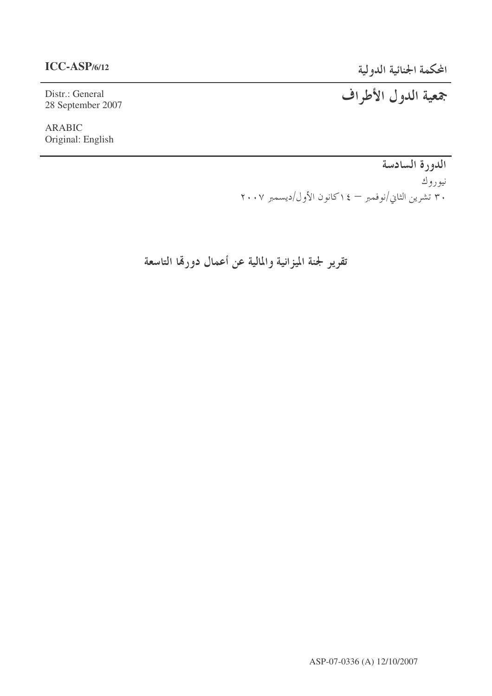## **ICC-ASP/6/12**

Distr.: General 28 September 2007

ARABIC Original: English المحكمة الجنائية الدولية

جمعية الدول الأطراف

الدورة السادسة نيوروك ۳۰ تشرین الثاني/نوفمبر — ۱٤كانون الأول/ديسمبر ۲۰۰۷

تقرير لجنة الميزانية والمالية عن أعمال دورهّا التاسعة

ASP-07-0336 (A) 12/10/2007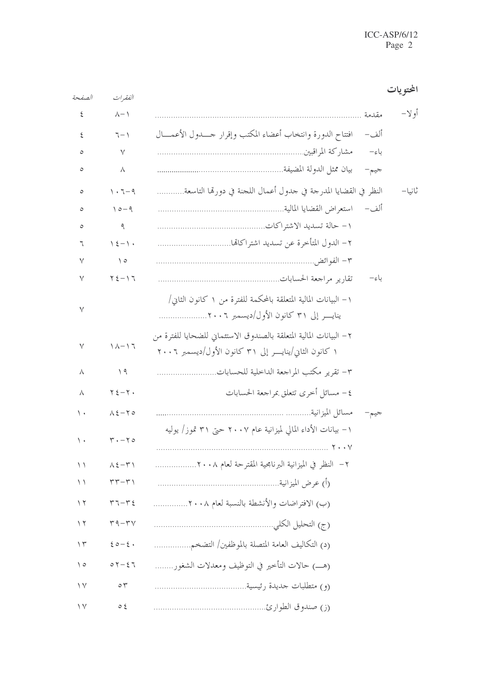| الصفحة          | الفقيرات                              |                                                                                                                                | المحتو يات |
|-----------------|---------------------------------------|--------------------------------------------------------------------------------------------------------------------------------|------------|
| ٤               | $\wedge - \wedge$                     | مقدمة                                                                                                                          | أو لا–     |
| ٤               | $7 - 1$                               | افتتاح الدورة وانتخاب أعضاء المكتب وإقرار حسدول الأعمسال<br>ألف–                                                               |            |
| ٥               | $\vee$                                | باءِ–                                                                                                                          |            |
| ٥               | Λ                                     | جيم-                                                                                                                           |            |
| ٥               | $1.7 - 9$                             | النظر في القضايا المدرجة في جدول أعمال اللجنة في دورهّا التاسعة                                                                | ثانيا–     |
| ٥               | $10-9$                                | ألف–                                                                                                                           |            |
| ٥               | ٩                                     |                                                                                                                                |            |
| ٦               | $\lambda \xi - \lambda$               |                                                                                                                                |            |
| ٧               | $\setminus$ 0                         |                                                                                                                                |            |
| ٧               | $Y\xi - YT$                           | باءِ–                                                                                                                          |            |
| ٧               |                                       | ١ – البيانات المالية المتعلقة بالمحكمة للفترة من ١ كانون الثاني/<br>ينايــــر إلى ٣١ كانون الأول/ديسمبر ٢٠٠٦                   |            |
| ٧               | $1/\lambda - 17$                      | ٢ – البيانات المالية المتعلقة بالصندوق الاستئماني للضحايا للفترة من<br>۱ كانون الثاني/ينايــــر إلى ۳۱ كانون الأول/ديسمبر ۲۰۰۲ |            |
| ٨               | $\Delta$                              | ٣– تقرير مكتب المراجعة الداخلية للحسابات                                                                                       |            |
| Λ               | $Y \xi - Y$                           | ٤ – مسائل أخرى تتعلق بمراجعة الحسابات                                                                                          |            |
| ۰۱.             | $\lambda \xi - \zeta$                 | مسائل الميزانية<br>جيم–                                                                                                        |            |
| $\langle \cdot$ | $\mathbf{r} \cdot - \mathbf{r} \cdot$ | ١ – بيانات الأداء المالي لميزانية عام ٢٠٠٧ حتى ٣١ تموز/ يوليه                                                                  |            |
| $\setminus$     | $\wedge \xi - \tau \wedge$            | ٢–  النظر في الميزانية البرنامجية المقترحة لعام ٢٠٠٨                                                                           |            |
| ۱۱              | $\tau\tau-\tau$                       |                                                                                                                                |            |
| ۲ ۱             | $\tau$ $\tau$ - $\tau$ {              | (ب) الافتراضات والأنشطة بالنسبة لعام ٢٠٠٨                                                                                      |            |
| $\gamma$        | $r - r v$                             |                                                                                                                                |            |
| $\gamma$        | $20 - 2$                              | (د) التكاليف العامة المتصلة بالموظفين/ التضخم                                                                                  |            |
| $\setminus$ 0   | $07 - 27$                             |                                                                                                                                |            |
| $\vee$          | $\circ \tau$                          |                                                                                                                                |            |
| $\vee$          | $\circ$ {                             |                                                                                                                                |            |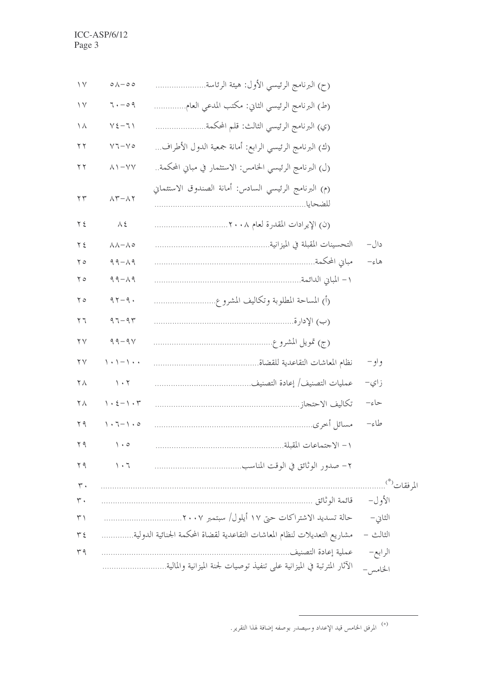| $\vee$              | $\circ \wedge - \circ \circ$                           | (ح) البرنامج الرئيسي الأول: هيئة الرئاسة                                 |          |
|---------------------|--------------------------------------------------------|--------------------------------------------------------------------------|----------|
| $\vee$              | 7.009                                                  | (ط) البرنامج الرئيسي الثاني: مكتب المدعى العام                           |          |
| ヽヽ                  | $Y\xi-T$                                               | (ي) البرنامج الرئيسي الثالث: قلم المحكمة                                 |          |
| $\tau$              | $V7-V0$                                                | (ك) البرنامج الرئيسي الرابع: أمانة جمعية الدول الأطراف                   |          |
| $\tau$              | $\wedge$ \ $-\vee\vee$                                 | (ل) البرنامج الرئيسي الخامس: الاستثمار في مباني المحكمة                  |          |
| $\Upsilon \Upsilon$ | $\Lambda \Upsilon - \Lambda \Upsilon$                  | (م) البرنامج الرئيسي السادس: أمانة الصندوق الاستئماني                    |          |
| $Y \xi$             | $\Lambda$ {                                            |                                                                          |          |
| $Y \xi$             | $\lambda \lambda - \lambda o$                          |                                                                          | دال–     |
| ه ۲                 | $99 - 19$                                              |                                                                          | هاءِ–    |
| 50                  | $99 - 19$                                              |                                                                          |          |
| 50                  | $97 - 9.$                                              |                                                                          |          |
| 57                  | $97 - 97$                                              |                                                                          |          |
| $\Upsilon$          | $99 - 94$                                              |                                                                          |          |
| $\gamma \gamma$     | $\backslash \cdot \backslash - \backslash \cdot \cdot$ |                                                                          | واو –    |
| $\mathbf{Y} \wedge$ | $\backslash$ . $\backslash$                            |                                                                          | ز اي–    |
| ٢٨                  | $\backslash \cdot \xi - \backslash \cdot \tau$         |                                                                          | حاءِ–    |
| $Y$ 9               | $\backslash \cdot \top - \backslash \cdot \circ$       |                                                                          | طاءِ–    |
| 59                  | $\setminus \cdot \circ$                                |                                                                          |          |
| 79                  | $\eta \cdot \tau$                                      |                                                                          |          |
| $\mathsf{r}$ .      |                                                        |                                                                          |          |
| ۳۰                  |                                                        |                                                                          | الأول–   |
| $\uparrow$          |                                                        |                                                                          | الثاني – |
| $\tau$ {            |                                                        | مشاريع التعديلات لنظام المعاشات التقاعدية لقضاة المحكمة الجنائية الدولية | الثالث – |
| $\tau$ 9            |                                                        | عملية إعادة التصنيف.                                                     | الرابع–  |
|                     |                                                        | الآثار المترتبة في الميزانية على تنفيذ توصيات لجنة الميزانية والمالية    | الخامس – |

<sup>.&</sup>lt;br>أ\* المرفق الخامس قيد الإعداد وسيصدر بوصفه إضافة لهذا التقرير .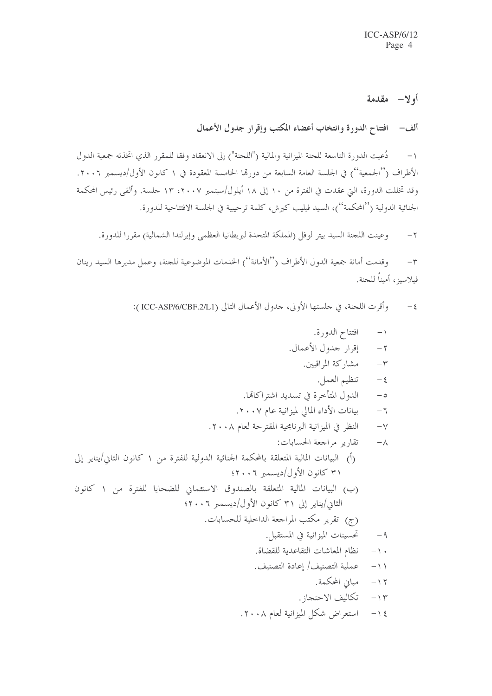## أولا— مقدمة

ألف- افتتاح الدورة وانتخاب أعضاء المكتب وإقرار جدول الأعمال

١– دُعيت الدورة التاسعة للجنة الميزانية والمالية ("اللجنة") إلى الانعقاد وفقا للمقرر الذي اتخذته جمعية الدول الأطراف (''الجمعية'') في الجلسة العامة السابعة من دورها الخامسة المعقودة في ١ كانون الأول/ديسمبر ٢٠٠٦. وقد تخللت الدورة، التي عقدت في الفترة من ١٠ إلى ١٨ أيلول/سبتمبر ٢٠٠٧، ١٣ جلسة. وألقى رئيس المحكمة الجنائية الدولية (''المحكمة'')، السيد فيليب كيرش، كلمة ترحيبية في الجلسة الافتتاحية للدورة.

وعينت اللجنة السيد بيتر لوفل (المملكة المتحدة لبريطانيا العظمى وإيرلندا الشمالية) مقررا للدورة.  $-\tau$ 

وقدمت أمانة جمعية الدول الأطراف (''الأمانة'') الخدمات الموضوعية للجنة، وعمل مديرها السيد رينان  $-\tau$ فيلاسيز، أميناً للجنة.

٤ – وأقرت اللجنة، في حلستها الأولى، حدول الأعمال التالي (ICC-ASP/6/CBF.2/L1 ):

\n
$$
+
$$
  
\n $-$  اقترار حدول الأعمال.  
\n $-$   
\n $-$   
\n $-$   
\n $-$   
\n $-$   
\n $-$   
\n $-$   
\n $-$   
\n $-$   
\n $-$   
\n $-$   
\n $-$   
\n $-$   
\n $-$   
\n $-$   
\n $-$   
\n $-$   
\n $-$   
\n $-$   
\n $-$   
\n $-$   
\n $-$   
\n $-$   
\n $-$   
\n $-$   
\n $-$   
\n $-$   
\n $-$   
\n $-$   
\n $-$   
\n $-$   
\n $-$   
\n $-$   
\n $-$   
\n $-$   
\n $-$   
\n $-$   
\n $-$   
\n $-$   
\n $-$   
\n $-$   
\n $-$   
\n $-$   
\n $-$   
\n $-$   
\n $-$   
\n $-$   
\n $-$   
\n $-$   
\n $-$   
\n $-$   
\n $-$   
\n $-$   
\n $-$   
\n $-$   
\n $-$   
\n $-$   
\n $-$   
\n $-$   
\n $-$   
\n $-$   
\n $-$   
\n $-$   
\n $-$   
\n $-$   
\n $-$   
\n $-$   
\n $-$   
\n $-$   
\n $-$   
\n $-$   
\n $-$   
\n $-$   
\n $-$   
\n $-$   
\n $-$   
\n $-$   
\n $-$   
\n $-$   
\n $-$   
\n $-$   
\n $-$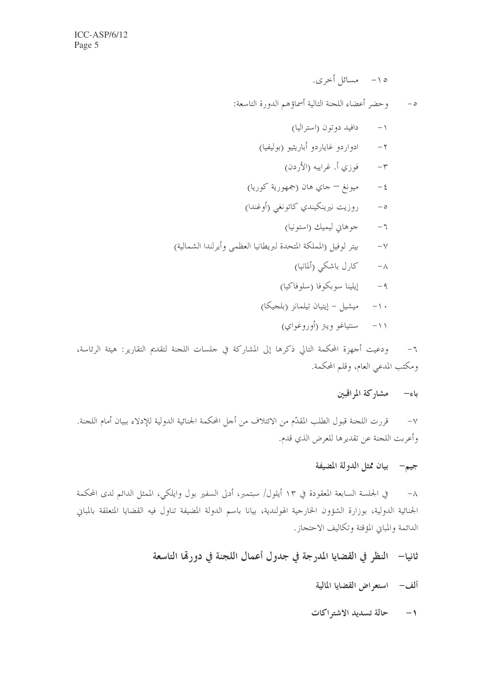١٥ - مسائل أحرى.

٥– وحضر أعضاء اللجنة التالية أسماؤهم الدورة التاسعة:

- ۸– کارل باشکی (ألمانیا)
- ۹– \_\_\_ إيلينا سوبكوفا (سلوفاكيا)
- ۱۰– میشیل إیتیان تیلمانز (بلجیکا)
	- ۱۱– سنتیاغو ویتر (أوروغواي)

٦– ودعيت أحمهزة المحكمة التالي ذكرها إلى المشاركة في جلسات اللجنة لتقديم التقارير : هيئة الرئاسة، ومكتب المدعي العام، وقلم المحكمة.

## باء– مشاركة المراقبين

قررت اللجنة قبول الطلب المقدّم من الائتلاف من أجل المحكمة الجنائية الدولية للإدلاء ببيان أمام اللجنة.  $-\vee$ وأعربت اللجنة عن تقديرها للعرض الذي قدم.

## جيم— بيان ممثل الدولة المضيفة

في الجلسة السابعة المعقودة في ١٣ أيلول/ سبتمبر، أدلى السفير بول وايلكي، الممثل الدائم لدى المحكمة  $-\lambda$ الجنائية الدولية، بوزارة الشؤون الخارجية الهولندية، بيانا باسم الدولة المضيفة تناول فيه القضايا المتعلقة بالمباين الدائمة والمباين المؤقتة وتكاليف الاحتجاز.

## ثانيا— النظر في القضايا المدرجة في جدول أعمال اللجنة في دورهّا التاسعة

ألف - استعراض القضايا المالية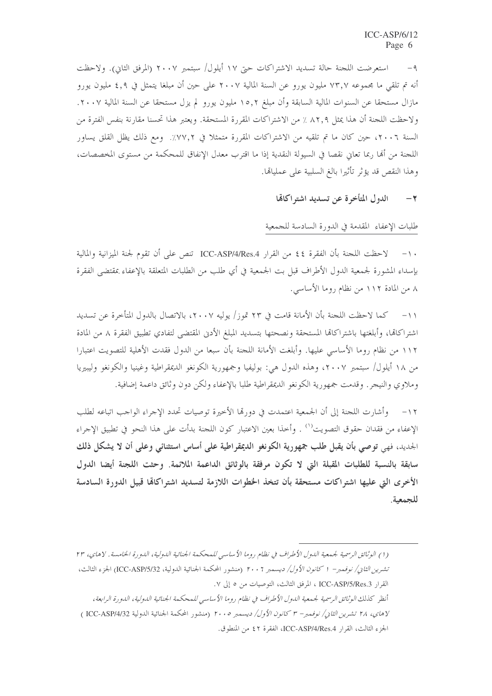استعرضت اللجنة حالة تسديد الاشتراكات حيّ ١٧ أيلول/ سبتمبر ٢٠٠٧ (المرفق الثاني). ولاحظت  $-9$ أنه تم تلقى ما مجموعه ٧٣,٧ مليون يورو عن السنة المالية ٢٠٠٧ على حين أن مبلغا يتمثل في ٤,٩ مليون يورو مازال مستحقا عن السنوات المالية السابقة وأن مبلغ ١٥,٢ مليون يورو لم يزل مستحقا عن السنة المالية ٢٠٠٧. ولاحظت اللجنة أن هذا يمثل ٨٢٫٩ ٪ من الاشتراكات المقررة المستحقة. ويعتبر هذا تحسنا مقارنة بنفس الفترة من السنة ٢٠٠٦، حين كان ما تم تلقيه من الاشتراكات المقررة متمثلاً في ٧٧٢٪. ومع ذلك يظل القلق يساور اللجنة من ألها ربما تعاني نقصا في السيولة النقدية إذا ما اقترب معدل الإنفاق للمحكمة من مستوى المخصصات، وهذا النقص قد يؤثر تأثيرا بالغ السلبية على عمليالها.

> الدول المتأخرة عن تسديد اشتراكاتها  $-\tau$

طلبات الإعفاء المقدمة في الدورة السادسة للجمعية

لاحظت اللجنة بأن الفقرة ٤٤ من القرار ICC-ASP/4/Res.4 تنص على أن تقوم لجنة الميزانية والمالية  $-1$ بإسداء المشورة لجمعية الدول الأطراف قبل بت الجمعية في أي طلب من الطلبات المتعلقة بالإعفاء بمقتضى الفقرة ٨ من المادة ١١٢ من نظام روما الأساسي.

١١– كما لاحظت اللجنة بأن الأمانة قامت في ٢٣ تموز/ يوليه ٢٠٠٧، بالاتصال بالدول المتأخرة عن تسديد اشتراكاتما، وأبلغتها باشتراكاتما المستحقة ونصحتها بتسديد المبلغ الأدنى المقتضى لتفادي تطبيق الفقرة ٨ من المادة ١١٢ من نظام روما الأساسي عليها. وأبلغت الأمانة اللجنة بأن سبعا من الدول فقدت الأهلية للتصويت اعتبارا من ١٨ أيلول/ سبتمبر ٢٠٠٧، وهذه الدول هي: بوليفيا وجمهورية الكونغو الديمقراطية وغينيا والكونغو وليبيريا وملاوي والنيجر . وقدمت جمهورية الكونغو الديمقراطية طلبا بالإعفاء ولكن دون وثائق داعمة إضافية.

١٢– وأشارت اللجنة إلى أن الجمعية اعتمدت في دورهّا الأخيرة توصيات تحدد الإجراء الواجب اتباعه لطلب الإعفاء من فقدان حقوق التصويت''' . وأخذا بعين الاعتبار كون اللحنة بدأت على هذا النحو في تطبيق الإحراء الجديد، فهي توصى بأن يقبل طلب جمهورية الكونغو الديمقراطية على أساس استثنائي وعلى أن لا يشكل ذلك سابقة بالنسبة للطلبات المقبلة التي لا تكون مرفقة بالوثائق الداعمة الملائمة. وحثت اللجنة أيضا الدول الأخرى التي عليها اشتراكات مستحقة بأن تتخذ الخطوات اللازمة لتسديد اشتراكالها قبيل الدورة السادسة للجمعية.

أنظر كذلك الوثائق الرسمية لجمعية الدول الأطراف في نظام روما الأساسي للمحكمة الجنائية الدولية، الدورة الرابعة، لاهاي، ٢٨ تشرين الثاني/ نوفمبر- ٣ كانون الأول/ ديسمبر ٢٠٠٥ (منشور المحكمة الجنائية الدولية ICC-ASP/4/32 ) الجزء الثالث، القرار ICC-ASP/4/Res.4، الفقرة ٤٢ من المنطوق.

<sup>(</sup>١) الوثائق الرسمية لجمعية اللول الأطراف في نظام روما الأساسي للمحكمة الجنائية اللولية، اللورة الخامسة. لاهاي، ٢٣ تشرين *الثان/ نوفمبر*– 1 كا*نون الأول/ ديسمبر* ٢٠٠٦ (منشور المحكمة الجنائية الدولية، ICC-ASP/5/32) الجزء الثالث، القرار ICC-ASP/5/Res.3 ، المرفق الثالث، التوصيات من ٥ إلى ٧.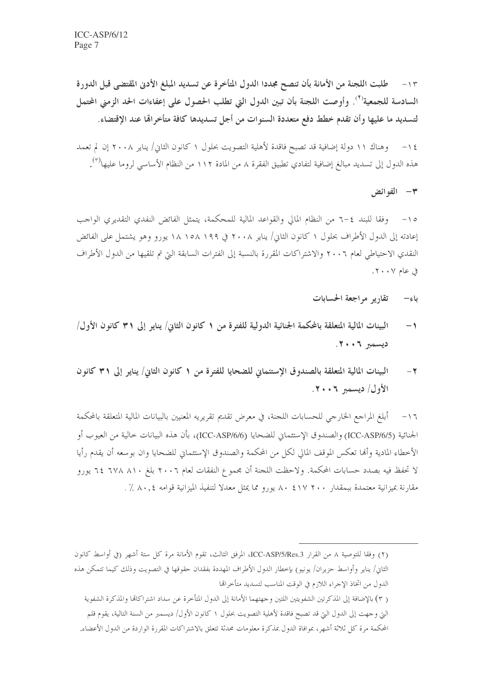١٣ – طلبت اللجنة من الأمانة بأن تنصح مجددا الدول المتأخرة عن تسديد المبلغ الأدنى المقتضى قبل الدورة السادسة للجمعية'<sup>؟</sup>). وأوصت اللجنة بأن تبين الدول التي تطلب الحصول على إعفاءات الحد الزمني المحتمل لتسديد ما عليها وأن تقدم خطط دفع متعددة السنوات من أجل تسديدها كافة متأخراهًا عند الإقتضاء.

١٤ – وهناك ١١ دولة إضافية قد تصبح فاقدة لأهلية التصويت بحلول ١ كانون الثاني/ يناير ٢٠٠٨ إن لم تعمد هذه الدول إلى تسديد مبالغ إضافية لتفادي تطبيق الفقرة ٨ من المادة ١١٢ من النظام الأساسي لروما عليها<sup>(٣)</sup>.

٣- الفوائض

١٥- وفقا للبند ٤–٦ من النظام المالي والقواعد المالية للمحكمة، يتمثل الفائض النفدي التقديري الواحب إعادته إلى الدول الأطراف بحلول ١ كانون الثاني/ يناير ٢٠٠٨ في ١٩٩ ١٥٨ ١٨ يورو وهو يشتمل على الفائض النقدى الاحتياطي لعام ٢٠٠٦ والاشتراكات المقررة بالنسبة إلى الفترات السابقة التي تم تلقيها من الدول الأطراف  $\cdot \cdot \cdot$ وي عام ۲۰۰۷.

- تقاريو مراجعة الحسابات ىاء—
- البينات المالية المتعلقة بالمحكمة الجنائية الدولية للفترة من ١ كانون الثاني/ ينايو إلى ٣١ كانون الأول/  $\rightarrow$  $.7...$   $7...2$
- البينات المالية المتعلقة بالصندوق الإستئماني للضحايا للفترة من ١ كانون الثاني/ يناير إلى ٣١ كانون  $-7$ الأول/ ديسمبر ٢٠٠٦.

أبلغ المراجع الخارجي للحسابات اللجنة، في معرض تقديم تقريريه المعنيين بالبيانات المالية المتعلقة بالمحكمة  $-17$ الجنائية (ICC-ASP/6/5) والصندوق الإستئماني للضحايا (ICC-ASP/6/6)، بأن هذه البيانات حالية من العيوب أو الأخطاء المادية وأفما تعكس الموقف المالي لكل من المحكمة والصندوق الإستئماني للضحايا وان بوسعه أن يقدم رأيا لا تحفظ فيه بصدد حسابات المحكمة. ولاحظت اللجنة أن مجموع النفقات لعام ٢٠٠٦ بلغ ٦٧٨ ٦٧٨ ٢٤ يورو مقارنة بميزانية معتمدة ببمقدار ٢٠٠ ١٧ ٢ ٨٠ يورو مما يمثل معدلا لتنفيذ الميزانية قوامه ٨٠,٤ ٪ .

( ٣) بالإضافة إلى المذكرتين الشفويتين اللتين وجهتهما الأمانة إلى الدول المتأخرة عن سداد اشتراكاتما والمذكرة الشفوية

<sup>(</sup>٢) وفقا للتوصية ٨ من القرار ICC-ASP/5/Res.3، المرفق الثالث، تقوم الأمانة مرة كل ستة أشهر (في أواسط كانون الثاني/ يناير وأواسط حزيران/ يونيو) بإخطار الدول الأطراف المهددة بفقدان حقوقها في التصويت وذلك كيما تتمكن هذه الدول من اتخاذ الإجراء اللازم في الوقت المناسب لتسديد متأخرالها

التي وجهت إلى الدول التي قد تصبح فاقدة لأهلية التصويت بحلول ١ كانون الأول/ ديسمبر من السنة التالية، يقوم قلم

المحكمة مرة كل ثلاثة أشهر، بموافاة الدول بمذكرة معلومات محدثة تتعلق بالاشتراكات المقررة الواردة من الدول الأعضاء.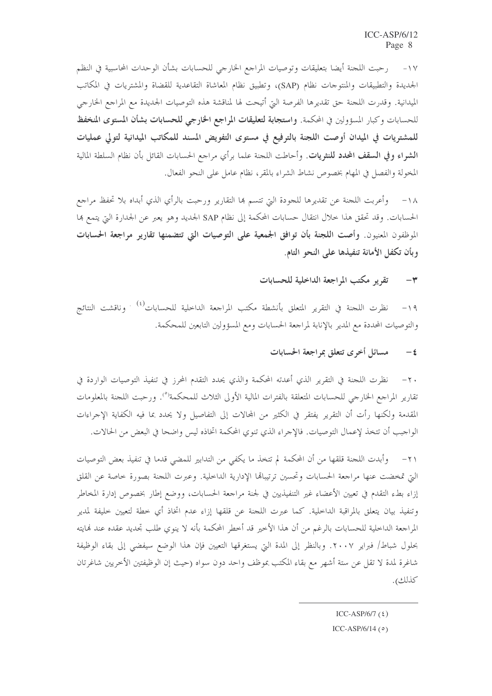١٧- رحبت اللجنة أيضا بتعليقات وتوصيات المراجع الخارجي للحسابات بشأن الوحدات المحاسبية في النظم الجديدة والتطبيقات والمنتوجات نظام (SAP)، وتطبيق نظام المعاشاة التقاعدية للقضاة والمشتريات في المكاتب الميدانية. وقدرت اللحنة حق تقديرها الفرصة التي أتيحت لها لمناقشة هذه التوصيات الجديدة مع المراحع الخارجي للحسابات وكبار المسؤولين في المحكمة. وا**ستجابة لتعليقات المراجع الخارجي للحسابات بشأن المستوى المنخفظ** للمشتريات في الميدان أوصت اللجنة بالترفيع في مستوى التفويض المسند للمكاتب الميدانية لتولى عمليات ا**لشراء وفي السقف المحدد للنثريات**. وأحاطت اللجنة علما برأي مراجع الحسابات القائل بأن نظام السلطة المالية المخولة والفصل في المهام بخصوص نشاط الشراء بالمقر، نظام عامل على النحو الفعال.

١٨– وأعربت اللحنة عن تقديرها للجودة التي تتسم هما التقارير ورحبت بالرأي الذي أبداه بلا تحفظ مراجع الحسابات. وقد تحقق هذا خلال انتقال حسابات المحكمة إلى نظام SAP الجديد وهو يعبر عن الجدارة التي يتمع بما الموظفون المعنيون. وأصت اللجنة بأن توافق الجمعية على التوصيات التي تتضمنها تقارير مراجعة الحسابات وبأن تكفل الأمانة تنفيذها على النحو التام.

> تقرير مكتب المراجعة الداخلية للحسابات  $-\tau$

نظرت اللجنة في التقرير المتعلق بأنشطة مكتب المراجعة الداحلية للحسابات<sup>(٤) .</sup> وناقشت النتائج  $-19$ والتوصيات المحددة مع المدير بالإنابة لمراجعة الحسابات ومع المسؤولين التابعين للمحكمة.

#### مسائل أخرى تتعلق بمراجعة الحسابات  $-\epsilon$

نظرت اللجنة في التقرير الذي أعدته المحكمة والذي يحدد التقدم المحرز في تنفيذ التوصيات الواردة في  $-\tau$ . تقارير المراجع الخارجي للحسابات المتعلقة بالفترات المالية الأولى الثلاث للمحكمة<sup>(٥</sup>). ورحبت اللجنة بالمعلومات المقدمة ولكنها رأت أن التقرير يفتقر في الكثير من المحالات إلى التفاصيل ولا يحدد بما فيه الكفاية الإجراءات الواجب أن تتخذ لإعمال التوصيات. فالإجراء الذي تنوي المحكمة اتخاذه ليس واضحا في البعض من الحالات.

٢١– وأبدت اللجنة قلقها من أن المحكمة لم تتخذ ما يكفى من التدابير للمضى قدما في تنفيذ بعض التوصيات التي تمخضت عنها مراجعة الحسابات وتحسين ترتيبالها الإدارية الداخلية. وعبرت اللجنة بصورة خاصة عن القلق إزاء بطء التقدم في تعيين الأعضاء غير التنفيذيين في لجنة مراجعة الحسابات، ووضع إطار بخصوص إدارة المخاطر وتنفيذ بيان يتعلق بالمراقبة الداحلية. كما عبرت اللجنة عن قلقها إزاء عدم اتخاذ أي خطة لتعيين خليفة لمدير المراجعة الداخلية للحسابات بالرغم من أن هذا الأخير قد أخطر المحكمة بأنه لا ينوي طلب تجديد عقده عند نمايته بحلول شباط/ فبراير ٢٠٠٧. وبالنظر إلى المدة التي يستغرقها التعيين فإن هذا الوضع سيفضى إلى بقاء الوظيفة شاغرة لمدة لا تقل عن ستة أشهر مع بقاء المكتب بموظف واحد دون سواه (حيث إن الوظيفتين الأخريين شاغرتان كذلك).

ICC-ASP/6/7 $(5)$ 

ICC-ASP/6/14 $(0)$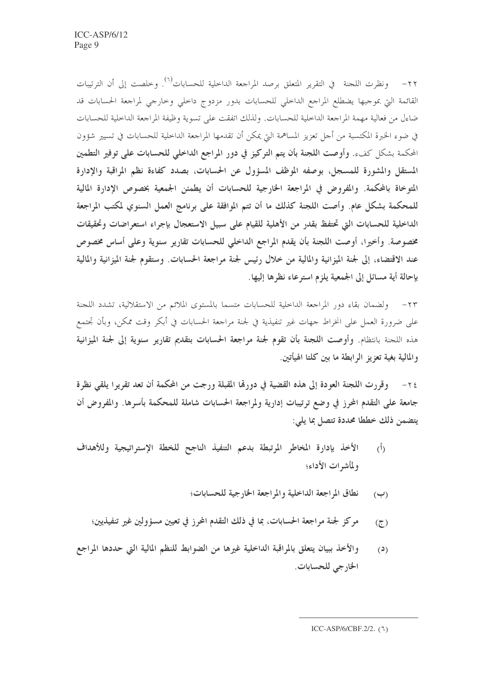٢٢- ونظرت اللجنة في التقرير المتعلق برصد المراجعة الداخلية للحسابات<sup>(٦)</sup>. وخلصت إلى أن الترتيبات القائمة التي بموجبها يضطلع المراجع الداخلي للحسابات بدور مزدوج داخلي وخارجي لمراجعة الحسابات قد ضاءل من فعالية مهمة المراجعة الداخلية للحسابات. ولذلك اتفقت على تسوية وظيفة المراجعة الداخلية للحسابات في ضوء الخبرة المكتسبة من أجل تعزيز المساهمة التي يمكن أن تقدمها المراجعة الداخلية للحسابات في تسيير شؤون المحكمة بشكل كفء. وأوصت اللجنة بأن يتم التركيز في دور المراجع الداخلي للحسابات على توفير التطمين المستقل والمشورة للمسجل، بوصفه الموظف المسؤول عن الحسابات، بصدد كفاءة نظم المراقبة والإدارة المتوخاة بالمحكمة. والمفروض في المراجعة الخارجية للحسابات أن يطمئن الجمعية بخصوص الإدارة المالية للمحكمة بشكل عام. وأصت اللجنة كذلك ما أن تتم الموافقة على برنامج العمل السنوي لمكتب المراجعة الداخلية للحسابات التي تحتفظ بقدر من الأهلية للقيام على سبيل الاستعجال بإجراء استعراضات وتحقيقات مخصوصة. وأخيرًا، أوصت اللجنة بأن يقدم المراجع الداخلي للحسابات تقارير سنوية وعلى أساس مخصوص عند الاقتضاء، إلى لجنة الميزانية والمالية من خلال رئيس لجنة مراجعة الحسابات. وستقوم لجنة الميزانية والمالية بإحالة أية مسائل إلى الجمعية يلزم استرعاء نظرها إليها.

٢٣ – ولضمان بقاء دور المراجعة الداخلية للحسابات متسما بالمستوى الملائم من الاستقلالية، تشدد اللجنة على ضرورة العمل على انخراط جهات غير تنفيذية في لجنة مراجعة الحسابات في أبكر وقت ممكن، وبأن تجتمع هذه اللجنة بانتظام. وأوصت اللجنة بأن تقوم لجنة مراجعة الحسابات بتقديم تقارير سنوية إلى لجنة الميزانية والمالية بغية تعزيز الرابطة ما بين كلتا الهيأتين.

وقررت اللجنة العودة إلى هذه القضية في دورقما المقبلة ورجت من المحكمة أن تعد تقريرا يلقى نظرة  $-\tau$  { جامعة على التقدم المحرز في وضع ترتيبات إدارية ولمراجعة الحسابات شاملة للمحكمة بأسرها. والمفروض أن يتضمن ذلك خططا محددة تتصل بما يلي:

- الأخذ بإدارة المخاطر المرتبطة بدعم التنفيذ الناجح للخطة الإستراتيجية وللأهداف  $\hat{(\Lambda)}$ ولمأشرات الأداء؛
	- نطاق المراجعة الداخلية والمراجعة الخارجية للحسابات؛  $(\hookrightarrow)$
	- مركز لجنة مراجعة الحسابات، بما في ذلك التقدم المحرز في تعيين مسؤولين غير تنفيذيين؛  $\circled{z}$
- والأخذ ببيان يتعلق بالمراقبة الداخلية غيرها من الضوابط للنظم المالية التي حددها المراجع  $(2)$ الخارجي للحسابات.

ICC-ASP/6/CBF.2/2. (٦)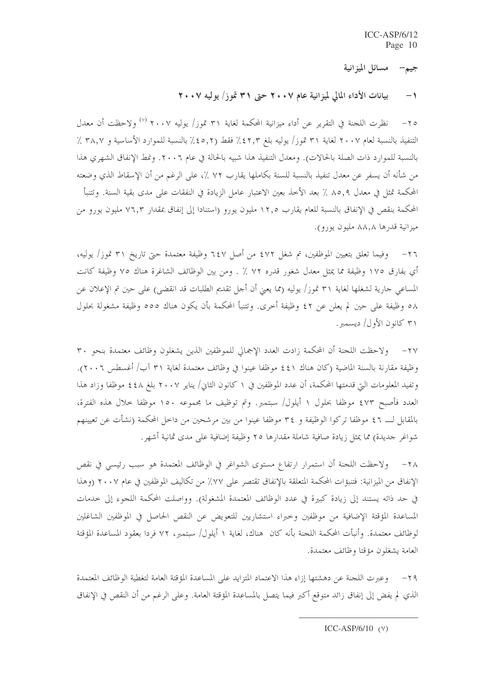جيم— مسائل الميزانية

بيانات الأداء المالي لميزانية عام ٢٠٠٧ حتى ٣١ تموز/ يوليه ٢٠٠٧  $-1$ 

٢٥– نظرت اللجنة في التقرير عن أداء ميزانية المحكمة لغاية ٣١ تموز/ يوليه ٢٠٠٧ (٧) ولاحظت أن معدل التنفيذ بالنسبة لعام ٢٠٠٧ لغاية ٣١ تموز/ يوليه بلغ ٤٢٫٣٪ فقط (٤٥٫٢٪ بالنسبة للموارد الأساسية و ٣٨٫٧ ٪ بالنسبة للموارد ذات الصلة بالحالات). ومعدل التنفيذ هذا شبيه بالحالة في عام ٢٠٠٦. ونمط الإنفاق الشهري هذا من شأنه أن يسفر عن معدل تنفيذ بالنسبة للسنة بكاملها يقارب ٧٢ ٪، على الرغم من أن الإسقاط الذي وضعته المحكمة تمثل في معدل ٨٥,٩ ٪ بعد الأخذ بعين الاعتبار عامل الزيادة في النفقات على مدى بقية السنة. وتتنبأ المحكمة بنقص في الإنفاق بالنسبة للعام يقارب ١٢٫٥ مليون يورو (استنادا إلى إنفاق بمقدار ٧٦٫٣ مليون يورو من ميزانية قدرها ٨٨,٨ مليون يورو).

٢٦– وفيما تعلق بتعيين الموظفين، تم شغل ٤٧٢ من أصل ٦٤٧ وظيفة معتمدة حتى تاريخ ٣١ تموز/ يوليه، أي بفارق ١٧٥ وظيفة مما يمثل معدل شغور قدره ٧٢ ٪ . ومن بين الوظائف الشاغرة هناك ٧٥ وظيفة كانت المساعي جارية لشغلها لغاية ٣١ تموز/ يوليه (مما يعني أن أجل تقديم الطلبات قد انقضي) على حين تم الإعلان عن ٥٨ وظيفة على حين لم يعلن عن ٤٢ وظيفة أخرى. وتتنبأ المحكمة بأن يكون هناك ٥٥٥ وظيفة مشغولة بحلول ٣١ كانون الأول/ ديسمبر.

٢٧– ولاحظت اللجنة أن المحكمة زادت العدد الإجمالي للموظفين الذين يشغلون وظائف معتمدة بنحو ٣٠ وظيفة مقارنة بالسنة الماضية (كان هناك ٤٤١ موظفا عينوا في وظائف معتمدة لغاية ٣١ آب/ أغسطس ٢٠٠٦). وتفيد المعلومات التي قدمتها المحكمة، أن عدد الموظفين في ١ كانون الثاني/ يناير ٢٠٠٧ بلغ ٤٤٨ موظفا وزاد هذا العدد فأصبح ٤٧٣ موظفا بحلول ١ أيلول/ سبتمبر. وتم توظيف ما مجموعه ١٥٠ موظفا حلال هذه الفترة، بالمقابل لـــ ٤٦ موظفا تركوا الوظيفة و ٣٤ موظفا عينوا من بين مرشحين من داحل المحكمة (نشأت عن تعيينهم شواغر حديدة) مما يمثل زيادة صافية شاملة مقدارها ٢٥ وظيفة إضافية على مدى ثمانية أشهر.

٢٨– ولاحظت اللجنة أن استمرار ارتفاع مستوى الشواغر في الوظائف المعتمدة هو سبب رئيسي في نقص الإنفاق من الميزانية: فتنبؤات المحكمة المتعلقة بالإنفاق تقتصر على ٧٧٪ من تكاليف الموظفين في عام ٢٠٠٧ (وهذا في حد ذاته يستند إلى زيادة كبيرة في عدد الوظائف المعتمدة المشغولة). وواصلت المحكمة اللجوء إلى حدمات المساعدة المؤقتة الإضافية من موظفين وحبراء استشاريين للتعويض عن النقص الحاصل في الموظفين الشاغلين لوظائف معتمدة. وأنبأت المحكمة اللجنة بأنه كان هناك، لغاية ١ أيلول/ سبتمبر، ٧٢ فردا بعقود المساعدة المؤقتة العامة يشغلون مؤقتا وظائف معتمدة.

٢٩– وعبرت اللجنة عن دهشتها إزاء هذا الاعتماد المتزايد على المساعدة المؤقتة العامة لتغطية الوظائف المعتمدة الذي لم يفض إلى إنفاق زائد متوقع أكبر فيما يتصل بالمساعدة المؤقتة العامة. وعلى الرغم من أن النقص في الإنفاق

ICC-ASP/6/10  $(Y)$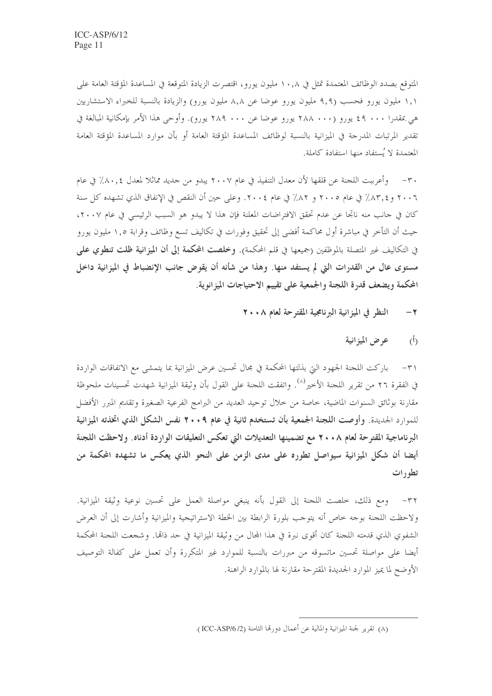المتوقع بصدد الوظائف المعتمدة تمثل في ١٠,٨ مليون يورو، اقتصرت الزيادة المتوقعة في المساعدة المؤقتة العامة على ١,١ مليون يورو فحسب (٩,٩ مليون يورو عوضا عن ٨,٨ مليون يورو) والزيادة بالنسبة للخبراء الاستشاريين هي بمقدرا ٤٩ ٠٠٠ يورو (٢٨٨ ٠٠٠ يورو عوضا عن ٢٨٩ ٠٠٠ يورو). وأوحى هذا الأمر بإمكانية المبالغة في تقدير المرتبات المدرجة في الميزانية بالنسبة لوظائف المساعدة المؤقتة العامة أو بأن موارد المساعدة المؤقتة العامة المعتمدة لا يُستفاد منها استفادة كاملة.

٣٠– وأعرببت اللجنة عن قلقها لأن معدل التنفيذ في عام ٢٠٠٧ يبدو من جديد مماثلا لمعدل ٨٠,٤٪ في عام ٢٠٠٦ و ٨٣٫٤٪ في عام ٢٠٠٥ و ٨٢٪ في عام ٢٠٠٤. وعلى حين أن النقص في الإنفاق الذي تشهده كل سنة كان في جانب منه ناتجا عن عدم تحقق الافتراضات المعلنة فإن هذا لا يبدو هو السبب الرئيسي في عام ٢٠٠٧، حيث أن التأخر في مباشرة أول محاكمة أفضى إلى تحقيق وفورات في تكاليف تسع وظائف وقرابة ١,٥ مليون يورو في التكاليف غير المتصلة بالموظفين (جميعها في قلم المحكمة). وخلصت المحكمة إلى أن الميزانية ظلت تنطوي على مستوى عالٍ من القدرات التي لم يستفد منها. وهذا من شأنه أن يقوض جانب الإنضباط في الميزانية داخل المحكمة ويضعف قدرة اللجنة والجمعية على تقييم الاحتياجات الميزانوية.

- النظر في الميزانية البرنامجية المقترحة لعام ٢٠٠٨  $-\tau$ 
	- عرض الميزانية  $\langle \hat{L} \rangle$

٣١- باركت اللجنة الجهود التي بذلتها المحكمة في مجال تحسين عرض الميزانية بما يتمشى مع الاتفاقات الواردة في الفقرة ٢٦ من تقرير اللجنة الأخير<sup>(٨)</sup>. واتفقت اللجنة على القول بأن وثيقة الميزانية شهدت تحسينات ملحوظة مقارنة بوثائق السنوات الماضية، خاصة من خلال توحيد العديد من البرامج الفرعية الصغيرة وتقديم المبرر الأفضل للموارد الجديدة. وأوصت اللجنة الجمعية بأن تستخدم ثانية في عام ٩ • ٢٠ نفس الشكل الذي اتخذته الميزانية البرناماجية المقترحة لعام ٢٠٠٨ مع تضمينها التعديلات التي تعكس التعليقات الواردة أدناه. ولاحظت اللجنة أيضا أن شكل الميزانية سيواصل تطوره على مدى الزمن على النحو الذي يعكس ما تشهده المحكمة من تطورات

٣٢– ومع ذلك، خلصت اللجنة إلى القول بأنه ينبغي مواصلة العمل على تحسين نوعية وثيقة الميزانية. ولاحظت اللجنة بوحه حاص أنه يتوحب بلورة الرابطة بين الخطة الاستراتيجية والميزانية وأشارت إلى أن العرض الشفوي الذي قدمته اللجنة كان أقوى نبرة في هذا المحال من وثيقة الميزانية في حد ذاتما. وشجعت اللجنة المحكمة أيضا على مواصلة تحسين ماتسوقه من مبررات بالنسبة للموارد غير المتكررة وأن تعمل على كفالة التوصيف الأوضح لما يميز الموارد الجديدة المقترحة مقارنة لها بالموارد الراهنة.

<sup>(</sup>٨) تقرير لجنة الميزانية والمالية عن أعمال دورتما الثامنة (ICC-ASP/6/2).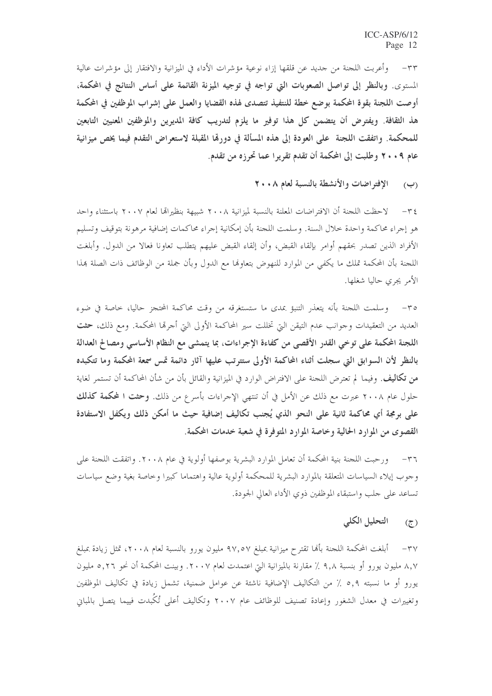٣٣ – وأعربت اللجنة من جديد عن قلقها إزاء نوعية مؤشرات الأداء في الميزانية والافتقار إلى مؤشرات عالية المستوى. وبالنظر إلى تواصل الصعوبات التي تواجه في توجيه الميزنة القائمة على أساس النتائج في المحكمة، أوصت اللجنة بقوة المحكمة بوضع خطة للنتفيذ تتصدى لهذه القضايا والعمل على إشراب الموظفين في المحكمة هذ الثقافة. ويفترض أن يتضمن كل هذا توفير ما يلزم لتدريب كافة المديرين والموظفين المعنيين التابعين للمحكمة. واتفقت اللجنة ً على العودة إلى هذه المسألة في دورهّا المقبلة لاستعراض التقدم فيما يخص ميزانية عام ٢٠٠٩ وطلبت إلى المحكمة أن تقدم تقريرا عما تحرزه من تقدم.

(ب) الإفتراضات والأنشطة بالنسبة لعام ٢٠٠٨

٣٤ – لاحظت اللجنة أن الافتراضات المعلنة بالنسبة لميزانية ٢٠٠٨ شبيهة بنظيراتما لعام ٢٠٠٧ باستثناء واحد هو إجراء محاكمة واحدة حلال السنة. وسلمت اللجنة بأن إمكانية إجراء محاكمات إضافية مرهونة بتوقيف وتسليم الأفراد الذين تصدر بحقهم أوامر بإلقاء القبض، وأن إلقاء القبض عليهم يتطلب تعاونا فعالا من الدول. وأبلغت اللجنة بأن المحكمة تملك ما يكفي من الموارد للنهوض بتعاوِفما مع الدول وبأن جملة من الوظائف ذات الصلة بمذا الأمر يجرى حاليا شغلها.

٣٥– وسلمت اللجنة بأنه يتعذر التنبؤ بمدى ما ستستغرقه من وقت محاكمة المحتجز حاليا، خاصة في ضوء العديد من التعقيدات وحوانب عدم التيقن التي تخللت سير المحاكمة الأولى التي أحرقما المحكمة. ومع ذلك، حثت اللجنة المحكمة على توخي القدر الأقصى من كفاءة الإجراءات، بما يتمشى مع النظام الأساسي ومصالح العدالة بالنظر لأن السوابق التي سجلت أثناء المحاكمة الأولى ستترتب عليها آثار دائمة تمس سمعة المحكمة وما تتكبده من تكاليف. وفيما لم تعترض اللجنة على الافتراض الوارد في الميزانية والقائل بأن من شأن المحاكمة أن تستمر لغاية حلول عام ٢٠٠٨ عبرت مع ذلك عن الأمل في أن تنتهي الإجراءات بأسرع من ذلك. وحثت ا لمحكمة كذلك على برمجة أي محاكمة ثانية على النحو الذي يُجنب تكاليف إضافية حيث ما أمكن ذلك ويكفل الاستفادة القصوى من الموارد الحالية وخاصة الموارد المتوفرة في شعبة خدمات المحكمة.

٣٦– ورحبت اللجنة بنية المحكمة أن تعامل الموارد البشرية بوصفها أولوية في عام ٢٠٠٨. واتفقت اللجنة على وجوب إيلاء السياسات المتعلقة بالموارد البشرية للمحكمة أولوية عالية واهتماما كبيرا وخاصة بغية وضع سياسات تساعد على جلب واستبقاء الموظفين ذوى الأداء العالي الجودة.

#### التحليل الكلى  $\circled{\mathfrak{c}}$

٣٧ – أبلغت المحكمة اللجنة بألها تقترح ميزانية بمبلغ ٩٧,٥٧ مليون يورو بالنسبة لعام ٢٠٠٨، تمثل زيادة بمبلغ ٨٫٧ مليون يورو أو بنسبة ٩٫٨ ٪ مقارنة بالميزانية التي اعتمدت لعام ٢٠٠٧. وبينت المحكمة أن نحو ٥٫٢٦ مليون يورو أو ما نسبته ٥٫٩ ٪ من التكاليف الإضافية ناشئة عن عوامل ضمنية، تشمل زيادة في تكاليف الموظفين وتغييرات في معدل الشغور وإعادة تصنيف للوظائف عام ٢٠٠٧ وتكاليف أعلى تُكُبدت فييما يتصل بالمباني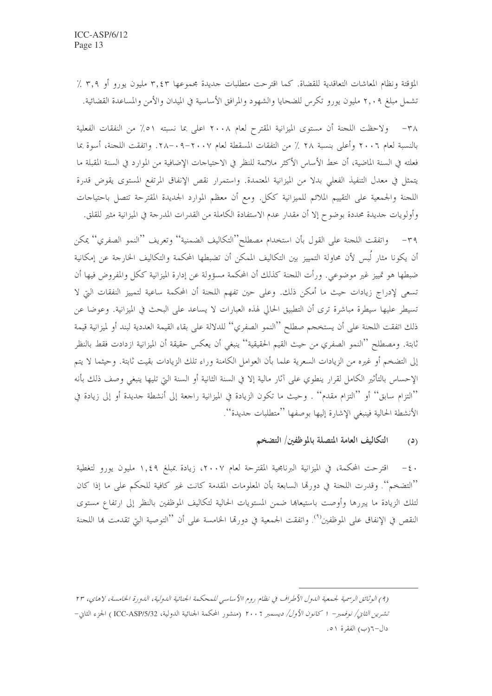المؤقتة ونظام المعاشات التعاقدية للقضاة. كما اقترحت متطلبات جديدة مجموعها ٣,٤٣ مليون يورو أو ٣,٩ ٪ تشمل مبلغ ٢,٠٩ مليون يورو تكرس للضحايا والشهود والمرافق الأساسية في الميدان والأمن والمساعدة القضائية.

٣٨ - ولاحظت اللجنة أن مستوى الميزانية المقترح لعام ٢٠٠٨ اعلى بما نسبته ٥١٪ من النفقات الفعلية بالنسبة لعام ٢٠٠٦ وأعلى بنسبة ٢٨ ٪ من التفقات المسقطة لعام ٢٠٠٧-٢٨-. واتفقت اللجنة، أسوة بما فعلته في السنة الماضية، أن حط الأساس الأكثر ملائمة للنظر في الاحتياجات الإضافية من الموارد في السنة المقبلة ما يتمثل في معدل التنفيذ الفعلي بدلاً من الميزانية المعتمدة. واستمرار نقص الإنفاق المرتفع المستوى يقوض قدرة اللجنة والجمعية على التقييم الملائم للميزانية ككل. ومع أن معظم الموارد الجديدة المقترحة تتصل باحتياحات وأولويات جديدة محددة بوضوح إلا أن مقدار عدم الاستفادة الكاملة من القدرات المدرجة في الميزانية مثير للقلق.

٣٩ – واتفقت اللجنة على القول بأن استخدام مصطلح''التكاليف الضمنية'' وتعريف ''النمو الصفري'' يمكن أن يكونا مثار لَبس لأن محاولة التمييز بين التكاليف الممكن أن تضبطها المحكمة والتكاليف الخارجة عن إمكانية ضبطها هو تمييز غير موضوعي. ورأت اللجنة كذلك أن المحكمة مسؤولة عن إدارة الميزانية ككل والمفروض فيها أن تسعى لإدراج زيادات حيث ما أمكن ذلك. وعلى حين تفهم اللجنة أن المحكمة ساعية لتمييز النفقات التي لا تسيطر عليها سيطرة مباشرة ترى أن التطبيق الحالي لهذه العبارات لا يساعد على البحث في الميزانية. وعوضا عن ذلك اتفقت اللجنة على أن يستخجم صطلح ''النمو الصفري'' للدلالة على بقاء القيمة العددية لبند أو لميزانية قيمة ثابتة. ومصطلح ''النمو الصفري من حيث القيم الحقيقية'' ينبغي أن يعكس حقيقة أن الميزانية ازدادت فقط بالنظر إلى التضخم أو غيره من الزيادات السعرية علما بأن العوامل الكامنة وراء تلك الزيادات بقيت ثابتة. وحيثما لا يتم الإحساس بالتأثير الكامل لقرار ينطوي على آثار مالية إلا في السنة الثانية أو السنة التي تليها ينبغي وصف ذلك بأنه ''التزام سابق'' أو ''التزام مقدم'' . وحيث ما تكون الزيادة في الميزانية راجعة إلى أنشطة جديدة أو إلى زيادة في الأنشطة الحالية فينبغي الإشارة إليها بوصفها ''متطلبات جديدة''.

#### التكاليف العامة المتصلة بالموظفين/ التضخم  $(2)$

٤٠ – اقترحت المحكمة، في الميزانية البرنامجية المقترحة لعام ٢٠٠٧، زيادة بمبلغ ١,٤٩ مليون يورو لتغطية ''التضخم''. وقدرت اللجنة في دورتما السابعة بأن المعلومات المقدمة كانت غير كافية للحكم على ما إذا كان لتلك الزيادة ما يبررها وأوصت باستيعاها ضمن المستويات الحالية لتكاليف الموظفين بالنظر إلى ارتفاع مستوى النقص في الإنفاق على الموظفين<sup>(٩)</sup>. واتفقت الجمعية في دورتما الخامسة على أن ''التوصية التي تقدمت بما اللجنة

<sup>(4)</sup> الوثائق الرسمية لجمعية الدول الأطراف في نظام روم االأساسي للمحكمة الجنائية الدولية، الدورة الخامسة، لاهاي، ٢٣ تشرين *الثان/ نوفمبر*– 1 كا*نون الأول/ ديسمبر* ٢٠٠٦ (منشور المحكمة الجنائية الدولية، ICC-ASP/5/32 ) الجزء الثاني– دال–۲(ب) الفقرة ٥١.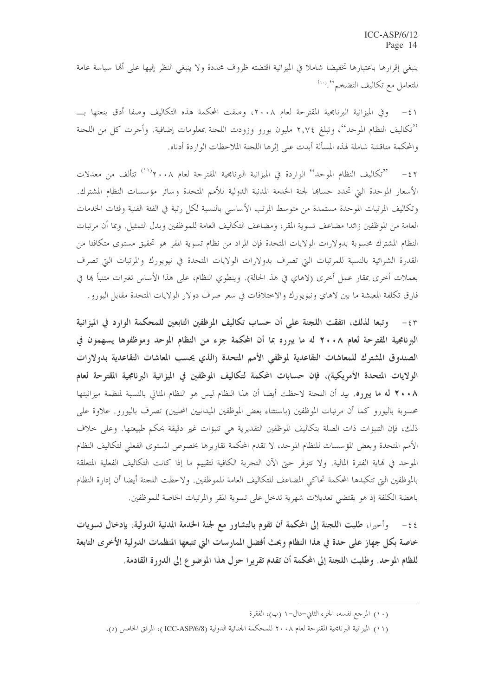ينبغي إقرارها باعتبارها تخفيضا شاملا في الميزانية اقتضته ظروف محددة ولا ينبغي النظر إليها على أُلها سياسة عامة للتعامل مع تكاليف التضخم .....)

٤١ – وفي الميزانية البرنامجية المقترحة لعام ٢٠٠٨، وصفت المحكمة هذه التكاليف وصفا أدق بنعتها بــــ ''تكاليف النظام الموحد''، وتبلغ ٢,٧٤ مليون يورو وزودت اللجنة بمعلومات إضافية. وأجرت كل من اللجنة والمحكمة مناقشة شاملة لهذه المسألة أبدت على إثرها اللجنة الملاحظات الواردة أدناه.

٤٢ – ''تكاليف النظام الموحد'' الواردة في الميزانية البرنامجية المقترحة لعام ٢٠٠٨' '' تتألف من معدلات الأسعار الموحدة التي تحدد حساها لجنة الخدمة المدنية الدولية للأمم المتحدة وسائر مؤسسات النظام المشترك. وتكاليف المرتبات الموحدة مستمدة من متوسط المرتب الأساسي بالنسبة لكل رتبة في الفئة الفنية وفئات الخدمات العامة من الموظفين زائدا مضاعف تسوية المقر، ومضاعف التكاليف العامة للموظفين وبدل التمثيل. وبما أن مرتبات النظام المشترك محسوبة بدولارات الولايات المتحدة فإن المراد من نظام تسوية المقر هو تحقيق مستوى متكافئا من القدرة الشرائية بالنسبة للمرتبات التي تصرف بدولارات الولايات المتحدة في نيويورك والمرتبات التي تصرف بعملات أخرى بمقار عمل أخرى (لاهاي في هذ الحالة). وينطوي النظام، على هذا الأساس تغيرات متنبأ ها في فارق تكلفة المعيشة ما بين لاهاي ونيويورك والاختلافات في سعر صرف دولار الولايات المتحدة مقابل اليورو .

٤٣ - وتبعا لذلك، اتفقت اللجنة على أن حساب تكاليف الموظفين التابعين للمحكمة الوارد في الميزانية البرنامجية المقترحة لعام ٢٠٠٨ له ما يبرره بما أن المحكمة جزء من النظام الموحد وموظفوها يسهمون في الصندوق المشترك للمعاشات التقاعدية لموظفي الأمم المتحدة رالذي يحسب المعاشات التقاعدية بدولارات الولايات المتحدة الأمريكية)، فإن حسابات المحكمة لتكاليف الموظفين في الميزانية البرنامجية المقترحة لعام ٢٠٠٨ له ما يبرره. بيد أن اللجنة لاحظت أيضا أن هذا النظام ليس هو النظام المثالي بالنسبة لمنظمة ميزانيتها محسوبة باليورو كما أن مرتبات الموظفين (باستثناء بعض الموظفين الميدانيين المحليين) تصرف باليورو . علاوة على ذلك، فإن التنبؤات ذات الصلة بتكاليف الموظفين التقديرية هي تنبؤات غير دقيقة بحكم طبيعتها. وعلى حلاف الأمم المتحدة وبعض المؤسسات للنظام الموحد، لا تقدم المحكمة تقاريرها بخصوص المستوى الفعلى لتكاليف النظام الموحد في لهاية الفترة المالية. ولا تتوفر حتى الآن التجربة الكافية لتقييم ما إذا كانت التكاليف الفعلية المتعلقة بالموظفين التي تتكبدها المحكمة تحاكي المضاعف للتكاليف العامة للموظفين. ولاحظت اللجنة أيضا أن إدارة النظام باهضة الكلفة إذ هو يقتضي تعديلات شهرية تدخل على تسوية المقر والمرتبات الخاصة للموظفين.

وأحيرًا، طلبت اللجنة إلى المحكمة أن تقوم بالتشاور مع لجنة الحدمة المدنية الدولية، بإدخال تسويات  $-55$ خاصة بكل جهاز على حدة في هذا النظام وبحث أفضل الممارسات التي تتبعها المنظمات الدولية الأخرى التابعة للظام الموحد. وطلبت اللجنة إلى المحكمة أن تقدم تقريرا حول هذا الموضوع إلى الدورة القادمة.

<sup>(</sup>١٠) المرجع نفسه، الجزء الثاني-دال-١ (ب)، الفقرة

<sup>(</sup>١١) الميزانية البرنامجية المقترحة لعام ٢٠٠٨ للمحكمة الجنائية الدولية (ICC-ASP/6/8)، المرفق الحامس (د).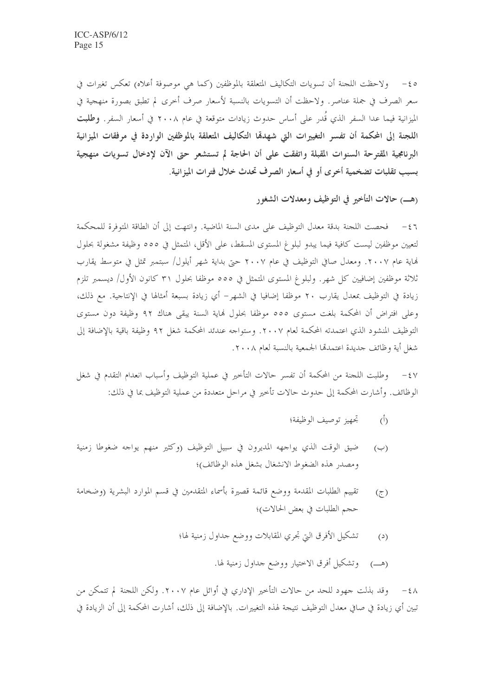0 k − ولاحظت اللجنة أن تسويات التكاليف المتعلقة بالموظفين (كما هي موصوفة أعلاه) تعكس تغيرات في سعر الصرف في جملة عناصر. ولاحظت أن التسويات بالنسبة لأسعار صرف أخرى لم تطبق بصورة منهجية في الميزانية فيما عدا السفر الذي قُدر على أساس حدوث زيادات متوقعة في عام ٢٠٠٨ في أسعار السفر. **وطلبت** اللجنة إلى المحكمة أن تفسر التغييرات التي شهدقما التكاليف المتعلقة بالموظفين الواردة في مرفقات الميزانية البرنامجية المقترحة السنوات المقبلة واتفقت على أن الحاجة لم تستشعر حتى الآن لإدخال تسويات منهجية بسبب تقلبات تضخمية أخرى أو في أسعار الصرف تحدث خلال فترات الميزانية.

(هـــ) حالات التأخير في التوظيف ومعدلات الشغور

٤٦ - فحصت اللجنة بدقة معدل التوظيف على مدى السنة الماضية. وانتهت إلى أن الطاقة المتوفرة للمحكمة لتعيين موظفين ليست كافية فيما يبدو لبلوغ المستوى المسقط، على الأقل، المتمثل في ٥٥٥ وظيفة مشغولة بحلول هَاية عام ٢٠٠٧. ومعدل صافي التوظيف في عام ٢٠٠٧ حتى بداية شهر أيلول/ سبتمبر تمثل في متوسط يقارب ثلاثة موظفين إضافيين كل شهر. ولبلوغ المستوى المتمثل في ٥٥٥ موظفا بحلول ٣١ كانون الأول/ ديسمبر تلزم زيادة في التوظيف بمعدل يقارب ٢٠ موظفا إضافيا في الشهر– أي زيادة بسبعة أمثالها في الإنتاجية. مع ذلك، وعلى افتراض أن المحكمة بلغت مستوى ٥٥٥ موظفا بحلول فماية السنة يبقى هناك ٩٢ وظيفة دون مستوى التوظيف المنشود الذي اعتمدته المحكمة لعام ٢٠٠٧. وستواجه عندئد المحكمة شغل ٩٢ وظيفة باقية بالإضافة إلى شغل أية وظائف جديدة اعتمدتما الجمعية بالنسبة لعام ٢٠٠٨.

٤٧ – وطلبت اللجنة من المحكمة أن تفسر حالات التأخير في عملية التوظيف وأسباب انعدام التقدم في شغل الوظائف. وأشارت المحكمة إلى حدوث حالات تأخير في مراحل متعددة من عملية التوظيف بما في ذلك:

- تجهيز توصيف الوظيفة؛  $\binom{5}{1}$
- ضيق الوقت الذي يواجهه المديرون في سبيل التوظيف (وكثير منهم يواجه ضغوطا زمنية  $(\hookrightarrow)$ ومصدر هذه الضغوط الانشغال بشغل هذه الوظائف)؛
- تقييم الطلبات المقدمة ووضع قائمة قصيرة بأسماء المتقدمين في قسم الموارد البشرية (وضخامة  $(7)$ حجم الطلبات في بعض الحالات)؛
	- تشكيل الأفرق التي تحري المقابلات ووضع حداول زمنية لها؛  $(2)$ 
		- (هـــ) وتشكيل أفرق الاختيار ووضع حداول زمنية لها.

٤٨ – وقد بذلت جهود للحد من حالات التأخير الإداري في أوائل عام ٢٠٠٧. ولكن اللحنة لم تتمكن من تبين أي زيادة في صافي معدل التوظيف نتيجة لهذه التغييرات. بالإضافة إلى ذلك، أشارت المحكمة إلى أن الزيادة في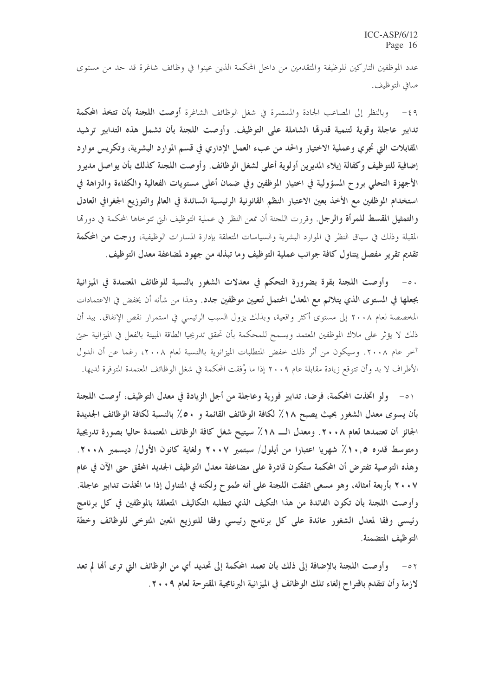عدد الموظفين التاركين للوظيفة والمتقدمين من داحل المحكمة الذين عينوا في وظائف شاغرة قد حد من مستوى صافي التوظيف.

٤٩ - وبالنظر إلى المصاعب الجادة والمستمرة في شغل الوظائف الشاغرة أ**وصت اللجنة بأن تتخذ المحكمة** تدابير عاجلة وقوية لتنمية قدرهّا الشاملة على التوظيف. وأوصت اللجنة بأن تشمل هذه التدابير ترشيد المقابلات التي تجري وعملية الاختيار والحد من عبء العمل الإداري في قسم الموارد البشرية، وتكريس موارد إضافية للتوظيف وكفالة إيلاء المديرين أولوية أعلى لشغل الوظائف. وأوصت اللجنة كذلك بأن يواصل مديرو الأجهزة التحلي بروح المسؤولية في اختيار الموظفين وفي ضمان أعلى مستويات الفعالية والكفاءة والتزاهة في استخدام الموظفين مع الأخذ بعين الاعتبار النظم القانونية الرئيسية السائدة في العالم والتوزيع الجغرافي العادل **والتمثيل المقسط للمرأة والرجل**. وقررت اللجنة أن تمعن النظر في عملية التوظيف التي تتوحاها المحكمة في دورتما المقبلة وذلك في سياق النظر في الموارد البشرية والسياسات المتعلقة بإدارة المسارات الوظيفية، ورجت من المحكمة تقديم تقرير مفصل يتناول كافة جوانب عملية التوظيف وما تبذله من جهود لمضاعفة معدل التوظيف.

٥٠- وأوصت اللجنة بقوة بضرورة التحكم في معدلات الشغور بالنسبة للوظائف المعتمدة في الميزانية بجعلها في المستوى الذي يتلائم مع المعدل المحتمل لتعيين موظفين جدد. وهذا من شأنه أن يخفض في الاعتمادات المخصصة لعام ٢٠٠٨ إلى مستوى أكثر واقعية، وبذلك يزول السبب الرئيسي في استمرار نقص الإنفاق. بيد أن ذلك لا يؤثِّر على ملاك الموظفين المعتمد ويسمح للمحكمة بأن تحقق تدريجيا الطاقة المبينة بالفعل في الميزانية حتى آخر عام ٢٠٠٨. وسيكون من أثر ذلك خفض المتطلبات الميزانوية باالنسبة لعام ٢٠٠٨، رغما عن أن الدول الأطراف لا بد وأن تتوقع زيادة مقابلة عام ٢٠٠٩ إذا ما وُفِقت المحكمة في شغل الوظائف المعتمدة المتوفرة لديها.

٥١ - ولو اتخذت المحكمة، فرضا، تدابير فورية وعاجلة من أجل الزيادة في معدل التوظيف، أوصت اللجنة بأن يسوى معدل الشغور بحيث يصبح ١٨٪ لكافة الوظائف القائمة و ٥٠٪ بالنسبة لكافة الوظائف الجديدة الجائز أن تعتمدها لعام ٢٠٠٨. ومعدل الـــ ١٨٪ سيتيح شغل كافة الوظائف المعتمدة حاليا بصورة تدريجية ومتوسط قدره ٠,٥٪ شهريا اعتبارا من أيلول/ سبتمبر ٢٠٠٧ ولغاية كانون الأول/ ديسمبر ٢٠٠٨. وهذه التوصية تفترض أن المحكمة ستكون قادرة على مضاعفة معدل التوظيف الجديد المحقق حتى الآن في عام ٢٠٠٧ بأربعة أمثاله، وهو مسعى اتفقت اللجنة على أنه طموح ولكنه في المتناول إذا ما اتخذت تدابير عاجلة. وأوصت اللجنة بأن تكون الفائدة من هذا التكيف الذي تتطلبه التكاليف المتعلقة بالموظفين في كل برنامج رئيسي وفقا لمعدل الشغور عائدة على كل برنامج رئيسي وفقا للتوزيع المعين المتوخى للوظائف وخطة التوظيف المتضمنة.

وأوصت اللجنة بالإضافة إلى ذلك بأن تعمد المحكمة إلى تحديد أي من الوظائف التي ترى أَهْا لم تعد  $-0<sup>7</sup>$ لازمة وأن تتقدم باقتراح إلغاء تلك الوظائف في الميزانية البرنامجية المقترحة لعام ٢٠٠٩.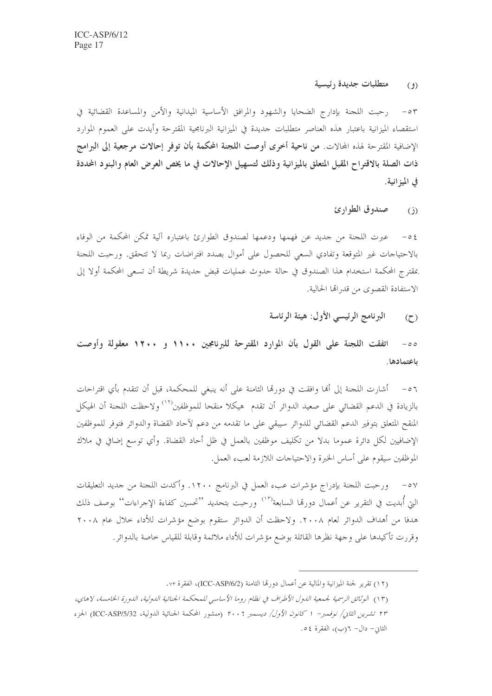متطلبات جديدة رئيسية  $(2)$ 

٥٣ - رحبت اللحنة بإدارج الضحايا والشهود والمرافق الأساسية الميدانية والأمن والمساعدة القضائية في استقصاء الميزانية باعتبار هذه العناصر متطلبات حديدة في الميزانية البرنامجية المقترحة وأيدت على العموم الموارد الإضافية المقترحة لهذه المحالات. من ناحية أخرى أوصت اللجنة المحكمة بأن توفر إحالات مرجعية إلى البرامج ذات الصلة بالاقتراح المقبل المتعلق بالميزانية وذلك لتسهيل الإحالات في ما يخص العرض العام والبنود المحددة في الميز انية.

> صندوق الطوارئ  $\overline{(\cdot)}$

عبرت اللجنة من جديد عن فهمها ودعمها لصندوق الطوارئ باعتباره آلية تمكن المحكمة من الوفاء  $-05$ بالاحتياجات غير المتوقعة وتفادي السعى للحصول على أموال بصدد افتراضات ربما لا تتحقق. ورحبت اللحنة بمقترج المحكمة استخدام هذا الصندوق في حالة حدوث عمليات قبض حديدة شريطة أن تسعى المحكمة أولا إلى الاستفادة القصوى من قدرالها الحالية.

> البرنامج الرئيسي الأول: هيئة الرئاسة  $(7)$

اتفقت اللجنة على القول بأن الموارد المقترحة للبرنامجين ١١٠٠ و ١٢٠٠ معقولة وأوصت  $-\circ \circ$ باعتمادها.

٥٦ – أشارت اللحنة إلى ألها وافقت في دورها الثامنة على أنه ينبغي للمحكمة، قبل أن تتقدم بأي اقتراحات بالزيادة في الدعم القضائي على صعيد الدوائر أن تقدم هيكلا منقحا للموظفين<sup>(١٢)</sup> ولاحظت اللجنة أن الهيكل المنقح المتعلق بتوفير الدعم القضائي للدوائر سيبقى على ما تقدمه من دعم لآحاد القضاة والدوائر فتوفر للموظفين الإضافيين لكل دائرة عموما بدلا من تكليف موظفين بالعمل في ظل أحاد القضاة. وأي توسع إضافي في ملاك الموظفين سيقوم على أساس الخبرة والاحتياجات اللازمة لعبء العمل.

٥٧ – ورحبت اللجنة بإدراج مؤشرات عبء العمل في البرنامج ١٢٠٠. وأكدت اللجنة من جديد التعليقات التي أبديت في التقرير عن أعمال دورهّا السابعة<sup>(١٣)</sup> ورحبت بتحديد ''تحسين كفاءة الإحراءات'' بوصف ذلك هدفا من أهداف الدوائر لعام ٢٠٠٨. ولاحظت أن الدوائر ستقوم بوضع مؤشرات للأداء حلال عام ٢٠٠٨ وقررت تأكيدها على وجهة نظرها القائلة بوضع مؤشرات للأداء ملائمة وقابلة للقياس خاصة بالدوائر .

(١٢) تقرير لجنة الميزانية والمالية عن أعمال دورتما الثامنة (ICC-ASP/6/2)، الفقرة ٧٣.

<sup>(</sup>١٣) الوثائق الرسمية لجمعية الدول الأطراف في نظام روما الأساسي للمحكمة الجنائية الدولية، الدورة الخامسة، لاهاي، ٢٣ تشرين الثاني/ نوفمبر– ١ كانون الأول/ ديسمبر ٢٠٠٦ (منشور المحكمة الجنائية الدولية، ICC-ASP/5/32) الجزء الثاني- دال- ٦(ب)، الفقرة ٥٤.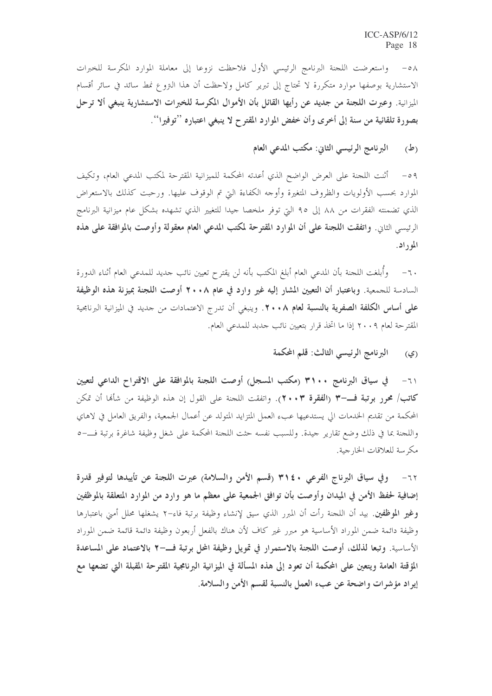٥٨- واستعرضت اللجنة البرنامج الرئيسي الأول فلاحظت نزوعا إلى معاملة الموارد المكرسة للخبرات الاستشارية بوصفها موارد متكررة لا تحتاج إلى تبرير كامل ولاحظت أن هذا التروع نمط سائد في سائر أقسام الميزانية. وعبرت اللجنة من جديد عن رأيها القائل بأن الأموال المكرسة للخبرات الاستشارية ينبغي ألا ترحل بصورة تلقائية من سنة إلى أخرى وأن خفض الموارد المقترح لا ينبغي اعتباره ''توفيرا''.

> البرنامج الرئيسي الثاني: مكتب المدعى العام (ط)

٥٩ – أثنت اللجنة على العرض الواضح الذي أعدته المحكمة للميزانية المقترحة لمكتب المدعى العام، وتكيف الموارد بحسب الأولويات والظروف المتغيرة وأوجه الكفاءة التي تم الوقوف عليها. ورحبت كذلك بالاستعراض الذي تضمنته الفقرات من ٨٨ إلى ٩٥ التي توفر ملخصا حيدا للتغيير الذي تشهده بشكل عام ميزانية البرنامج الرئيسي الثاني. واتفقت اللجنة على أن الموارد المقترحة لمكتب المدعى العام معقولة وأوصت بالموافقة على هذه الموراد.

٦٠– وأُبلغت اللجنة بأن المدعى العام أبلغ المكتب بأنه لن يقترح تعيين نائب حديد للمدعى العام أثناء الدورة السادسة للجمعية. وباعتبار أن التعيين المشار إليه غير وارد في عام ٢٠٠٨ أوصت اللجنة بميزنة هذه الوظيفة على أساس الكلفة الصفرية بالنسبة لعام ٨ • ٢٠ . وينبغي أن تدرج الاعتمادات من حديد في الميزانية البرنامجية المقترحة لعام ٢٠٠٩ إذا ما اتخذ قرار بتعيين نائب حدبد للمدعى العام.

> البرنامج الرئيسي الثالث: قلم المحكمة (ي)

المحكمة من تقديم الخدمات الى يستدعيها عبء العمل المتزايد المتولد عن أعمال الجمعية، والفريق العامل في لاهاي واللجنة بما في ذلك وضع تقارير جيدة. وللسبب نفسه حثت اللجنة المحكمة على شغل وظيفة شاغرة برتبة فــــــ 0 مكر سة للعلاقات الخا, جية.

٦٢- وفي سياق البرناج الفرعي ٣١٤٠ (قسم الأمن والسلامة) عبرت اللجنة عن تأييدها لتوفير قدرة إضافية لحفظ الأمن في الميدان وأوصت بأن توافق الجمعية على معظم ما هو وارد من الموارد المتعلقة بالموظفين وغير الموظفين. بيد أن اللحنة رأت أن المبرر الذي سيق لإنشاء وظيفة برتبة فاء–٢ يشغلها محلل أمني باعتبارها وظيفة دائمة ضمن الموراد الأساسية هو مبرر غير كاف لأن هناك بالفعل أربعون وظيفة دائمة قائمة ضمن الموراد الأساسية. وتبعا لذلك، أوصت اللجنة بالاستمرار في تمويل وظيفة المحل برتبة فـــــــــــــــــــــــــــ المساعدة المؤقتة العامة ويتعين على المحكمة أن تعود إلى هذه المسألة في الميزانية البرنامجية المقترحة المقبلة التي تضعها مع إيراد مؤشرات واضحة عن عبء العمل بالنسبة لقسم الأمن والسلامة.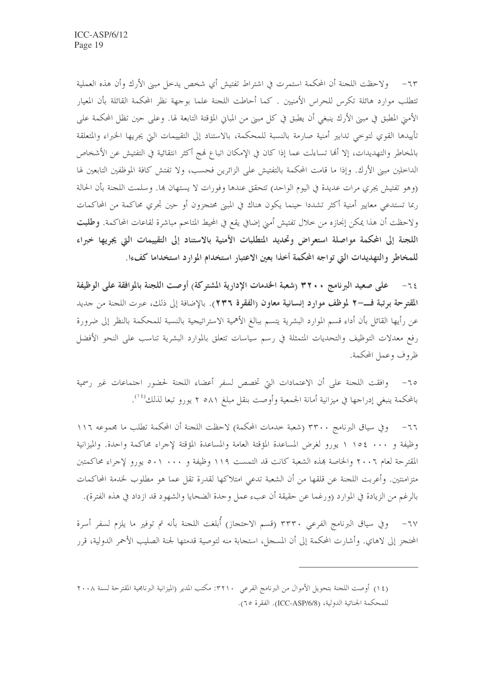٦٣– ولاحظت اللجنة أن المحكمة استمرت في اشتراط تفتيش أي شخص يدخل مبنى الأرك وأن هذه العملية تتطلب موارد هائلة تكرس للحراس الأمنيين . كما أحاطت اللحنة علما بوحهة نظر المحكمة القائلة بأن المعيار الأمني المطبق في مبنى الأرك ينبغي أن يطبق في كل مبنى من المبايي المؤقتة التابعة لها. وعلى حين تظل المحكمة على تأييدها القوي لتوحى تدابير أمنية صارمة بالنسبة للمحكمة، بالاستناد إلى التقييمات التي يجريها الخبراء والمتعلقة بالمخاطر والتهديدات، إلا أُها تساءلت عما إذا كان في الإمكان اتباع فمج أكثر انتقائية في التفتيش عن الأشخاص الداخلين مبني الأرك. وإذا ما قامت المحكمة بالتفتيش على الزائرين فحسب، ولا تفتش كافة الموظفين التابعين لها (وهو تفتيش يجري مرات عديدة في اليوم الواحد) تتحقق عندها وفورات لا يستهان بما. وسلمت اللجنة بأن الحالة ربما تستدعي معايير أمنية أكثر تشددا حينما يكون هناك في المبنى محتجزون أو حين تجري محاكمة من المحاكمات ولاحظت أن هذا يمكن إنجازه من خلال تفتيش أمني إضافي يقع في المحيط المتاخم مباشرة لقاعات المحاكمة. **وطلبت** اللجنة إلى المحكمة مواصلة استعراض وتحديد المتطلبات الأمنية بالاستناد إلى التقييمات التي يجريها خبراء للمخاطر والتهديدات التي تواجه المحكمة أخذا بعين الاعتبار استخدام الموارد استخداما كفءا.

٦٤– على صعيد البرنامج ٣٢٠٠ (شعبة الخدمات الإدارية المشتركة) أوصت اللجنة بالموافقة على الوظيفة المقترحة برتبة فــــ ٢ لموظف موارد إنسانية معاون (الفقرة ٢٣٦). بالإضافة إلى ذلك، عبرت اللجنة من جديد عن رأيها القائل بأن أداء قسم الموارد البشرية يتسم ببالغ الأهمية الاستراتيجية بالنسبة للمحكمة بالنظر إلى ضرورة رفع معدلات التوظيف والتحديات المتمثلة في رسم سياسات تتعلق بالموارد البشرية تناسب على النحو الأفضل ظروف وعمل المحكمة.

٦٥– وافقت اللجنة على أن الاعتمادات التي تخصص لسفر أعضاء اللجنة لحضور اجتماعات غير رسمية بالمحكمة ينبغي إدراجها في ميزانية أمانة الجمعية وأوصت بنقل مبلغ ٥٨١ ٢ يورو تبعا لذلك```.

٦٦– وفي سياق البرنامج ٣٣٠٠ (شعبة خدمات المحكمة) لاحظت اللجنة أن المحكمة تطلب ما مجموعه ١١٦ وظيفة و ١٠٠٠ ١٥٤ ١ يورو لغرض المساعدة المؤقتة العامة والمساعدة المؤقتة لإجراء محاكمة واحدة. والميزانية المقترحة لعام ٢٠٠٦ والخاصة بمذه الشعبة كانت قد التمست ١١٩ وظيفة و ٥٠١ ٠٠١ يورو لإجراء محاكمتبن متزامنتين. وأعربت اللجنة عن قلقها من أن الشعبة تدعى امتلاكها لقدرة تقل عما هو مطلوب لخدمة المحاكمات بالرغم من الزيادة في الموارد (ورغما عن حقيقة أن عبء عمل وحدة الضحايا والشهود قد ازداد في هذه الفترة).

وفي سياق البرنامج الفرعي ٣٣٣٠ (قسم الاحتجاز) أُبلغت اللجنة بأنه تم توفير ما يلزم لسفر أسرة المحتجز إلى لاهاي. وأشارت المحكمة إلى أن المسحل، استجابة منه لتوصية قدمتها لجنة الصليب الأحمر الدولية، قرر

<sup>(</sup>١٤) أوصت اللحنة بتحويل الأموال من البرنامج الفرعي ٣٢١٠: مكتب المدير (الميزانية البرنامجية المقترحة لسنة ٢٠٠٨ للمحكمة الجنائية الدولية، (ICC-ASP/6/8). الفقرة ٢٥).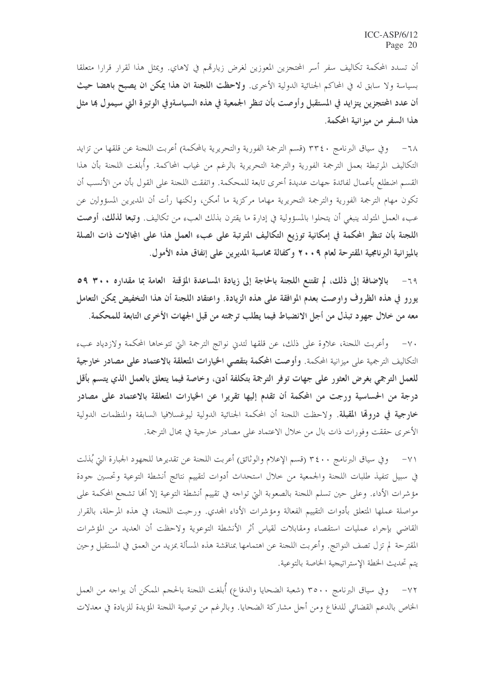أن تسدد المحكمة تكاليف سفر أسر المحتجزين المعوزين لغرض زيارتمم في لاهاي. ويمثل هذا لقرار قرارا متعلقا بسياسة ولا سابق له في المحاكم الجنائية الدولية الأخرى. **ولاحظت اللجنة ان هذا يمكن ان يصبح باهضا حيث** أن عدد المحتجزين يتزايد في المستقبل وأوصت بأن تنظر الجمعية في هذه السياسةوفي الوتيرة التي سيمول بما مثل هذا السفر من ميزانية المحكمة.

٦٨– وفي سياق البرنامج ٣٣٤٠ (قسم الترجمة الفورية والتحريرية بالمحكمة) أعربت اللجنة عن قلقها من تزايد التكاليف المرتبطة بعمل الترجمة الفورية والترجمة التحريرية بالرغم من غياب المحاكمة. وأُبلغت اللجنة بأن هذا القسم اضطلع بأعمال لفائدة جهات عديدة أحرى تابعة للمحكمة. واتفقت اللجنة على القول بأن من الأنسب أن تكون مهام الترجمة الفورية والترجمة التحريرية مهاما مركزية ما أمكن، ولكنها رأت أن المديرين المسؤولين عن عبء العمل المتولد ينبغي أن يتحلوا بالمسؤولية في إدارة ما يقترن بذلك العبء من تكاليف. **وتبعا لذلك، أوصت** اللجنة بأن تنظر المحكمة في إمكانية توزيع التكاليف المترتبة على عبء العمل هذا على المجالات ذات الصلة بالميزانية البرنامجية المقترحة لعام ٢٠٠٩ وكفالة محاسبة المديرين على إنفاق هذه الأمول.

بالإضافة إلى ذلك، لم تقتنع اللجنة بالحاجة إلى زيادة المساعدة المؤقتة العامة بما مقداره ٣٠٠ ٥٩  $-79$ يورو في هذه الظروف واوصت بعدم الموافقة على هذه الزيادة. واعتقاد اللجنة أن هذا التخفيض يمكن التعامل معه من خلال جهود تبذل من أجل الانضباط فيما يطلب ترجمته من قبل الجهات الأخرى التابعة للمحكمة.

٧٠– وأعربت اللجنة، علاوة على ذلك، عن قلقها لتدن نواتج الترجمة التي تتوخاها المحكمة ولازدياد عبء التكاليف الترجمية على ميزانية المحكمة. وأوصت المحكمة بتقصى الخيارات المتعلقة بالاعتماد على مصادر خارجية للعمل الترجمي بغرض العثور على جهات توفر الترجمة بتكلفة أدبى، وخاصة فيما يتعلق بالعمل الذي يتسم بأقل درجة من الحساسية ورجت من المحكمة أن تقدم إليها تقريرا عن الخيارات المتعلقة بالاعتماد على مصادر خارجية في دروقما المقبلة. ولاحظت اللجنة أن المحكمة الجنائية الدولية ليوغسلافيا السابقة والمنظمات الدولية الأخرى حققت وفورات ذات بال من خلال الاعتماد على مصادر خارجية في مجال الترجمة.

٧١ – وفي سياق البرنامج ٣٤٠٠ (قسم الإعلام والوثائق) أعربت اللجنة عن تقديرها للجهود الجبارة التي بُذلت في سبيل تتفيذ طلبات اللجنة والجمعية من حلال استحداث أدوات لتقييم نتائج أنشطة التوعية وتحسين جودة مؤشرات الأداء. وعلى حين تسلم اللجنة بالصعوبة التي تواحه في تقييم أنشطة التوعية إلا ألها تشجع المحكمة على مواصلة عملها المتعلق بأدوات التقييم الفعالة ومؤشرات الأداء المجدي. ورحبت اللجنة، في هذه المرحلة، بالقرار القاضي بإحراء عمليات استقصاء ومقابلات لقياس أثر الأنشطة التوعوية ولاحظت أن العديد من المؤشرات المقترحة لم تزل تصف النواتج. وأعربت اللحنة عن اهتمامها بمناقشة هذه المسألة بمزيد من العمق في المستقبل وحين يتم تحديث الخطة الإستراتيجية الخاصة بالتوعية.

٧٢– وفي سياق البرنامج ٣٥٠٠ (شعبة الضحايا والدفاع) أُبلغت اللجنة بالحجم الممكن أن يواجه من العمل الخاص بالدعم القضائي للدفاع ومن أحل مشاركة الضحايا. وبالرغم من توصية اللجنة المؤيدة للزيادة في معدلات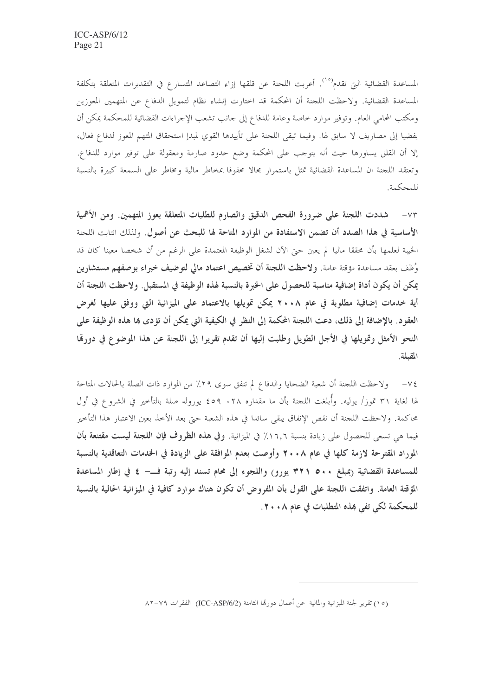المساعدة القضائية التي تقدم<sup>(٥٥</sup>). أعربت اللحنة عن قلقها إزاء التصاعد المتسارع في التقديرات المتعلقة بتكلفة المساعدة القضائية. ولاحظت اللجنة أن المحكمة قد اختارت إنشاء نظام لتمويل الدفاع عن المتهمين المعوزين ومكتب المحامي العام. وتوفير موارد خاصة وعامة للدفاع إلى حانب تشعب الإجراءات القضائية للمحكمة يمكن أن يفضيا إلى مصاريف لا سابق لها. وفيما تبقى اللجنة على تأييدها القوي لمبدإ استحقاق المتهم المعوز لدفاع فعال، إلا أن القلق يساورها حيث أنه يتوحب على المحكمة وضع حدود صارمة ومعقولة على توفير موارد للدفاع. وتعتقد اللجنة ان المساعدة القضائية تمثل باستمرار مجالا محفوفا بمخاطر مالية ومخاطر على السمعة كبيرة بالنسبة للمحكمة.

٧٣ – شددت اللجنة على ضرورة الفحص الدقيق والصارم للطلبات المتعلقة بعوز المتهمين. ومن الأهمية الأساسية في هذا الصدد أن تضمن الاستفادة من الموارد المتاحة لها للبحث عن أصول. ولذلك انتابت اللجنة الخيبة لعلمها بأن محققا ماليا لم يعين حتى الآن لشغل الوظيفة المعتمدة على الرغم من أن شخصا معينا كان قد وُظف بعقد مساعدة مؤقتة عامة. ولاحظت اللجنة أن تخصيص اعتماد مالي لتوضيف خبراء بوصفهم مستشارين يمكن أن يكون أداة إضافية مناسبة للحصول على الخبرة بالنسبة لهذه الوظيفة في المستقبل. ولاحظت اللجنة أن أية خدمات إضافية مطلوبة في عام ٢٠٠٨ يمكن تمويلها بالاعتماد على الميزانية التي ووفق عليها لغرض العقود. بالإضافة إلى ذلك، دعت اللجنة المحكمة إلى النظر في الكيفية التي يمكن أن تؤدي بما هذه الوظيفة على النحو الأمثل وتمويلها في الأجل الطويل وطلبت إليها أن تقدم تقريرا إلى اللجنة عن هذا الموضوع في دورهّا المقبلة.

٧٤– ولاحظت اللحنة أن شعبة الضحايا والدفاع لم تنفق سوى ٢٩٪ من الموارد ذات الصلة بالحالات المتاحة لها لغاية ٣١ تموز/ يوليه. وأبلغت اللجنة بأن ما مقداره ٢٨. ٤٥٩ يوروله صلة بالتأخير في الشروع في أول محاكمة. ولاحظت اللجنة أن نقص الإنفاق يبقى سائدا في هذه الشعبة حتى بعد الأخذ بعين الاعتبار هذا التأخير فيما هي تسعى للحصول على زيادة بنسبة ١٦٫٦٪ في الميزانية. وفي هذه الظروف فإن اللجنة ليست مقتنعة بأن الموراد المقترحة لازمة كلها في عام ٢٠٠٨ وأوصت بعدم الموافقة على الزيادة في الخدمات التعاقدية بالنسبة للمساعدة القضائية (بمبلغ ٥٠٠ ٣٢١ يورو) واللجوء إلى محام تسند إليه رتبة فــــ ٤ في إطار المساعدة المؤقتة العامة. واتفقت اللجنة على القول بأن المفروض أن تكون هناك موارد كافية في الميزانية الحالية بالنسبة للمحكمة لكي تفي هذه المتطلبات في عام ٢٠٠٨.

<sup>(</sup>١٥) تقرير لجنة الميزانية والمالية عن أعمال دورتما الثامنة (ICC-ASP/6/2) الفقرات ٧٩–٨٢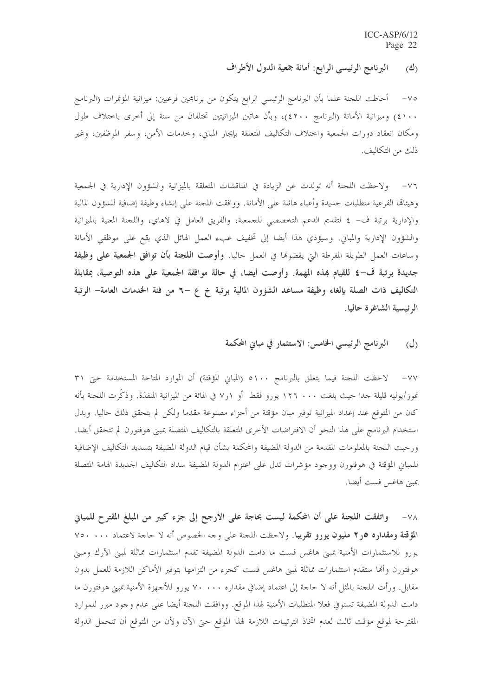البرنامج الرئيسي الرابع: أمانة جمعية الدول الأطراف  $\langle \frac{3}{2} \rangle$ 

٧٥– أحاطت اللحنة علما بأن البرنامج الرئيسي الرابع يتكون من برنامجين فرعيين: ميزانية المؤتمرات (البرنامج ٤١٠٠) وميزانية الأمانة (البرنامج ٤٢٠٠)، وبأن هاتين الميزانيتين تختلفان من سنة إلى أخرى باختلاف طول ومكان انعقاد دورات الجمعية واختلاف التكاليف المتعلقة بإيجار المباين، وخدمات الأمن، وسفر الموظفين، وغير ذلك من التكاليف.

٧٦– ولاحظت اللجنة أنه تولدت عن الزيادة في المناقشات المتعلقة بالميزانية والشؤون الإدارية في الجمعية وهيئاقما الفرعية متطلبات حديدة وأعباء هائلة على الأمانة. ووافقت اللجنة على إنشاء وظيفة إضافية للشؤون المالية والإدارية برتبة ف– ٤ لتقديم الدعم التخصصي للجمعية، والفريق العامل في لاهاي، واللجنة المعنية بالميزانية والشؤون الإدارية والمباني. وسيؤدي هذا أيضا إلى تخفيف عبء العمل الهائل الذي يقع على موظفى الأمانة وساعات العمل الطويلة المفرطة التي يقضوها في العمل حاليا. وأوصت ا**للجنة بأن توافق الجمعية على وظيفة** جديدة برتبة ف–٤ للقيام ڢمذه المهمة. وأوصت أيضا، في حالة موافقة الجمعية على هذه التوصية، بمقابلة التكاليف ذات الصلة بإلغاء وظيفة مساعد الشؤون المالية برتبة خ ع −٦ من فئة الحدمات العامة− الرتبة الرئيسية الشاغرة حاليا.

#### البرنامج الرئيسي الخامس: الاستثمار في مباني المحكمة  $\langle \bigcup \rangle$

٧٧– لاحظت اللجنة فيما يتعلق بالبرنامج ٥١٠٠ (المبابي المؤقتة) أن الموارد المتاحة المستخدمة حتى ٣١ تموز/يوليه قليلة جدا حيث بلغت ١٢٦ . • ١٢٦ يورو فقط أو ٧٫١ في المائة من الميزانية المنفذة. وذكَّرت اللجنة بأنه كان من المتوقع عند إعداد الميزانية توفير مبان مؤقتة من أجزاء مصنوعة مقدما ولكن لم يتحقق ذلك حاليا. ويدل استخدام البرنامج على هذا النحو أن الافتراضات الأخرى المتعلقة بالتكاليف المتصلة بمبنى هوفتورن لم تتحقق أيضا. ورحبت اللجنة بالمعلومات المقدمة من الدولة المضيفة والمحكمة بشأن قيام الدولة المضيفة بتسديد التكاليف الإضافية للمباني المؤقتة في هوفتورن ووجود مؤشرات تدل على اعتزام الدولة المضيفة سداد التكاليف الجديدة الهامة المتصلة بمبني هاغس فست أيضا.

٧٨- واتفقت اللجنة على أن المحكمة ليست بحاجة على الأرجح إلى جزء كبير من المبلغ المقترح للمباني المؤقتة ومقداره ٥ر٢ مليون يورو تقريبًا. ولاحظت اللحنة على وجه الخصوص أنه لا حاجة لاعتماد ٧٥٠ .٠٠ ك يورو للاستثمارات الأمنية بمبنى هاغس فست ما دامت الدولة المضيفة تقدم استثمارات مماثلة لمبنى الآرك ومبنى هوفتورن وأنها ستقدم استثمارات مماثلة لمبنى هاغس فست كجزء من التزامها بتوفير الأماكن اللازمة للعمل بدون مقابل. ورأت اللجنة بالمثل أنه لا حاجة إلى اعتماد إضافي مقداره ٧٠٠٠٠ يورو للأجهزة الأمنية بمبنى هوفتورن ما دامت الدولة المضيفة تستوفي فعلا المتطلبات الأمنية لهذا الموقع. ووافقت اللجنة أيضا على عدم وجود مبرر للموارد المقترحة لموقع مؤقت ثالث لعدم اتخاذ الترتيبات اللازمة لهذا الموقع حتى الآن ولأن من المتوقع أن تتحمل الدولة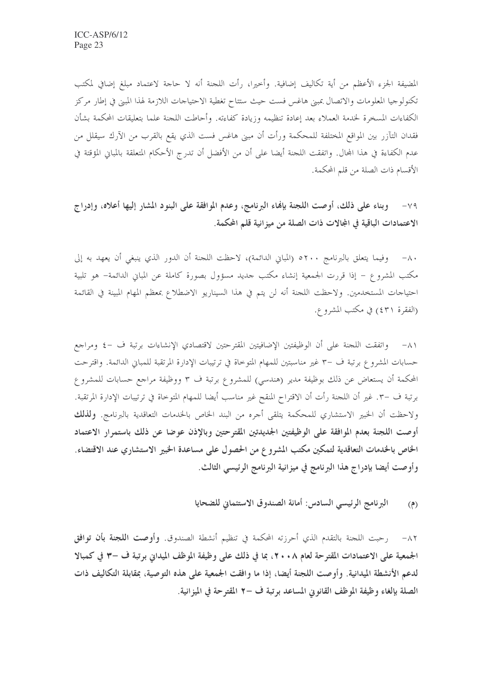المضيفة الجزء الأعظم من أية تكاليف إضافية. وأخيرا، رأت اللجنة أنه لا حاجة لاعتماد مبلغ إضافي لمكتب تكنولوجيا المعلومات والاتصال بمبنى هاغس فست حيث ستتاح تغطية الاحتياحات اللازمة لهذا المبنى في إطار مركز الكفاءات المسخرة لخدمة العملاء بعد إعادة تنظيمه وزيادة كفاءته. وأحاطت اللجنة علما بتعليقات المحكمة بشأن فقدان التآزر بين المواقع المختلفة للمحكمة ورأت أن مبنى هاغس فست الذي يقع بالقرب من الآرك سيقلل من عدم الكفاءة في هذا المحال. واتفقت اللجنة أيضا على أن من الأفضل أن تدرج الأحكام المتعلقة بالمباني المؤقتة في الأقسام ذات الصلة من قلم المحكمة.

٧٩- وبناء على ذلك، أوصت اللجنة بإنهاء البرنامج، وعدم الموافقة على البنود المشار إليها أعلاه، وإدراج الاعتمادات الباقية في المجالات ذات الصلة من ميزانية قلم المحكمة.

٨٠- وفيما يتعلق بالبرنامج ٥٢٠٠ (المباني الدائمة)، لاحظت اللجنة أن الدور الذي ينبغي أن يعهد به إلى مكتب المشروع – إذا قررت الجمعية إنشاء مكتب حديد مسؤول بصورة كاملة عن المباني الدائمة– هو تلبية احتياجات المستخدمين. ولاحظت اللجنة أنه لن يتم في هذا السيناريو الاضطلاع بمعظم المهام المبينة في القائمة (الفقرة ٤٣١) في مكتب المشروع.

٨١– واتفقت اللحنة على أن الوظيفتين الإضافيتين المقترحتين لاقتصادي الإنشاءات برتبة ف –٤ ومراجع حسابات المشروع برتبة ف –٣ غير مناسبتين للمهام المتوحاة في ترتيبات الإدارة المرتقبة للمباني الدائمة. واقترحت المحكمة أن يستعاض عن ذلك بوظيفة مدير (هندسي) للمشروع برتبة ف ٣ ووظيفة مراجع حسابات للمشروع برتبة ف –٣. غير أن اللحنة رأت أن الاقتراح المنقح غير مناسب أيضا للمهام المتوحاة في ترتيبات الإدارة المرتقبة. ولاحظت أن الخبير الاستشاري للمحكمة يتلقى أحره من البند الخاص بالخدمات التعاقدية بالبرنامج. و**لذلك** أوصت اللجنة بعدم الموافقة على الوظيفتين الجديدتين المقترحتين وبالإذن عوضا عن ذلك باستمرار الاعتماد الخاص بالخدمات التعاقدية لتمكين مكتب المشروع من الحصول على مساعدة الخبير الاستشاري عند الاقتضاء. وأوصت أيضا بإدراج هذا البرنامج في ميزانية البرنامج الرئيسي الثالث.

> البرنامج الرئيسي السادس: أمانة الصندوق الاستئماني للضحايا  $(9)$

٨٢– رحبت اللجنة بالتقدم الذي أحرزته المحكمة في تنظيم أنشطة الصندوق. وأوصت ا**للجنة بأن توافق** الجمعية على الاعتمادات المقترحة لعام ٢٠٠٨، بما في ذلك على وظيفة الموظف الميداني برتبة ف –٣ في كمبالا لدعم الأنشطة الميدانية. وأوصت اللجنة أيضا، إذا ما وافقت الجمعية على هذه التوصية، بمقابلة التكاليف ذات الصلة بإلغاء وظيفة الموظف القانوين المساعد برتبة ف –٢ المقترحة في الميزانية.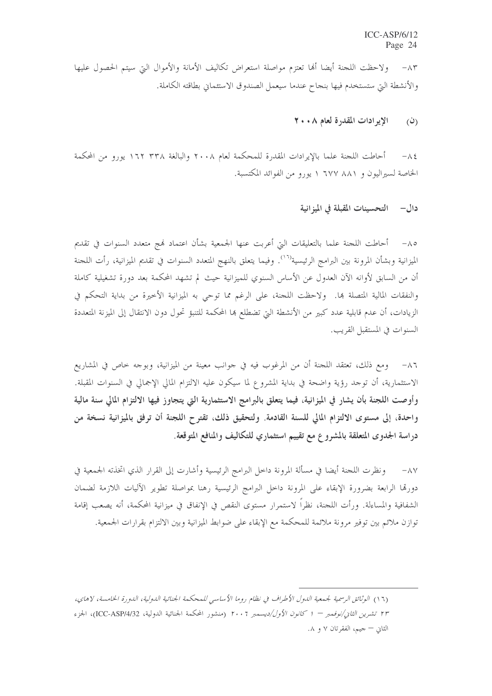٨٣ – ولاحظت اللجنة أيضا ألها تعتزم مواصلة استعراض تكاليف الأمانة والأموال البت سيتم الحصول عليها والأنشطة التي ستستخدم فيها بنجاح عندما سيعمل الصندوق الاستئماني بطاقته الكاملة.

#### الإيرادات المقدرة لعام ٢٠٠٨  $\mathcal{L}(\dot{\mathcal{L}})$

أحاطت اللجنة علما بالإيرادات المقدرة للمحكمة لعام ٢٠٠٨ والبالغة ٢٣٨ ١٦٢ يورو من المحكمة  $-\lambda \xi$ الخاصة لسيراليون و ٨٨١ ٦٧٧ ١ يورو من الفوائد المكتسبة.

### دال– التحسينات المقبلة في الميز انية

٨٥– أحاطت اللجنة علما بالتعليقات التي أعربت عنها الجمعية بشأن اعتماد نمج متعدد السنوات في تقديم الميزانية وبشأن المرونة بين البرامج الرئيسية<sup>(١٦</sup>). وفيما يتعلق بالنهج المتعدد السنوات في تقديم الميزانية، رأت اللحنة أن من السابق لأوانه الآن العدول عن الأساس السنوي للميزانية حيث لم تشهد المحكمة بعد دورة تشغيلية كاملة والنفقات المالية المتصلة بما. ولاحظت اللجنة، على الرغم مما توحى به الميزانية الأخيرة من بداية التحكم في الزيادات، أن عدم قابلية عدد كبير من الأنشطة التي تضطلع بما المحكمة للتنبؤ تحول دون الانتقال إلى الميزنة المتعددة السنوات في المستقبل القريب.

٨٦– ومع ذلك، تعتقد اللجنة أن من المرغوب فيه في حوانب معينة من الميزانية، وبوحه خاص في المشاريع الاستثمارية، أن توحد رؤية واضحة في بداية المشروع لما سيكون عليه الالتزام المالي الإجمالي في السنوات المقبلة. وأوصت اللجنة بأن يشار في الميزانية، فيما يتعلق بالبرامج الاستثمارية التي يتجاوز فيها الالتزام المالي سنة مالية واحدة، إلى مستوى الالتزام المالي للسنة القادمة. ولتحقيق ذلك، تقترح اللجنة أن ترفق بالميزانية نسخة من دراسة الجدوى المتعلقة بالمشروع مع تقييم استثماري للتكاليف والمنافع المتوقعة.

٨٧– ونظرت اللجنة أيضا في مسألة المرونة داخل البرامج الرئيسية وأشارت إلى القرار الذي اتخذته الجمعية في دورقما الرابعة بضرورة الإبقاء على المرونة داخل البرامج الرئيسية رهنا بمواصلة تطوير الآليات اللازمة لضمان الشفافية والمساءلة. ورأت اللجنة، نظراً لاستمرار مستوى النقص في الإنفاق في ميزانية المحكمة، أنه يصعب إقامة توازن ملائم بين توفير مرونة ملائمة للمحكمة مع الإبقاء على ضوابط الميزانية وبين الالتزام بقرارات الجمعية.

<sup>(</sup>١٦) الوثائق الرسمية لجمعية الدول الأطراف في نظام روما الأساسي للمحكمة الجنائية الدولية، الدورة الخامسة، لاهاي، ٢٣ تشرين الثاني/نوفمبر – ١ كانون الأول/ديسمبر ٢٠٠٦ (منشور المحكمة الجنائية الدولية، ICC-ASP/4/32)، الجزء الثاني — جيم، الفقرتان ٧ و ٨.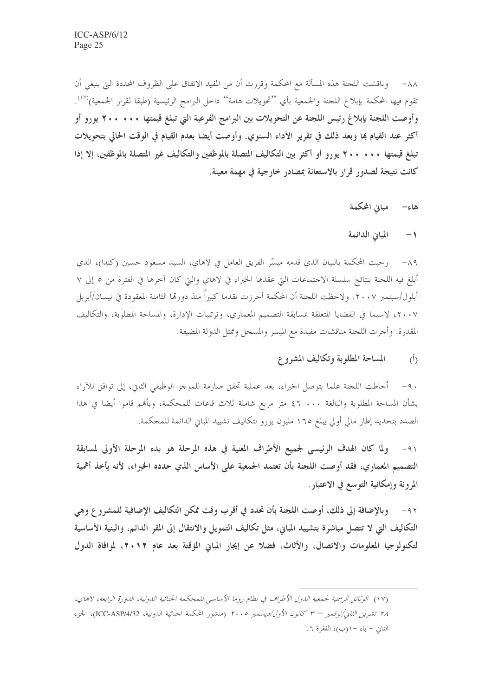٨٨– وناقشت اللجنة هذه المسألة مع المحكمة وقررت أن من المفيد الاتفاق على الظروف المحددة التي ينبغي أن تقوم فيها المحكمة بإبلاغ اللجنة والجمعية بأي ''تحويلات هامة'' داخل البرامج الرئيسية (طبقا لقرار الجمعية)'<sup>\')</sup>. وأوصت اللجنة بإبلاغ رئيس اللجنة عن التحويلات بين البرامج الفرعية التي تبلغ قيمتها ٢٠٠٠ ٢٠٠ يورو أو أكثر عند القيام بما وبعد ذلك في تقرير الأداء السنوي. وأوصت أيضا بعدم القيام في الوقت الحالي بتحويلات تبلغ قيمتها ٢٠٠ ٢٠٠ يورو أو أكثر بين التكاليف المتصلة بالموظفين والتكاليف غير المتصلة بالموظفين، إلا إذا كانت نتيجة لصدور قرار بالاستعانة بمصادر خارجية في مهمة معينة.

> مبانى المحكمة هاءِ–

المباني الدائمة  $\rightarrow$ 

٨٩- رحبت المحكمة بالبيان الذي قدمه ميسّر الفريق العامل في لاهاي، السيد مسعود حسين (كندا)، الذي أبلغ فيه اللجنة بنتائج سلسلة الاحتماعات التي عقدها الخبراء في لاهاي والتي كان آخرها في الفترة من ٥ إلى ٧ أيلول/سبتمبر ٢٠٠٧. ولاحظت اللجنة أن المحكمة أحرزت تقدما كبيراً منذ دورقما الثامنة المعقودة في نيسان/أبريل ٢٠٠٧، لاسيما في القضايا المتعلقة بمسابقة التصميم المعماري، وترتيبات الإدارة، والمساحة المطلوبة، والتكاليف المقدرة. وأحرت اللجنة مناقشات مفيدة مع الميسر والمسحل وممثل الدولة المضيفة.

> المساحة المطلوبة وتكاليف المشروع  $\tilde{(\Lambda)}$

٩٠- أحاطت اللحنة علما بتوصل الخبراء، بعد عملية تحقق صارمة للموحز الوظيفي الثاني، إلى توافق للآراء بشأن المساحة المطلوبة والبالغة ٤٦ . • ٤٦ متر مربع شاملة ثلاث قاعات للمحكمة، وبأُهُم قاموا أيضا في هذا الصدد بتحديد إطار مالي أولى يبلغ ١٦٥ مليون يورو لتكاليف تشييد المباني الدائمة للمحكمة.

ولما كان الهدف الرئيسي لجميع الأطراف المعنية في هذه المرحلة هو بدء المرحلة الأولى لمسابقة  $-91$ التصميم المعماري، فقد أوصت اللجنة بأن تعتمد الجمعية على الأساس الذي حدده الخبراء، لأنه يأخذ أهمية المرونة وإمكانية التوسع في الاعتبار.

وبالإضافة إلى ذلك، أوصت اللجنة بأن تحدد في أقرب وقت ممكن التكاليف الإضافية للمشروع وهي  $-97$ التكاليف التي لا تتصل مباشرة بتشييد المباني، مثل تكاليف التمويل والانتقال إلى المقر الدائم، والبنية الأساسية لتكنولوجيا المعلومات والاتصال، والأثاث، فضلاً عن إيجار المباني المؤقتة بعد عام ٢٠١٢، لموافاة الدول

<sup>(</sup>١٧) الوثائق الرسمية لجمعية الدول الأطراف في نظام روما الأساسي للمحكمة الجنائية الدولية، الدورة الرابعة، لاهاي، ٢٨ تشرين الثاني/نوفمبر – ٣ كانون الأول/ديسمبر ٢٠٠٥ (منشور المحكمة الجنائية الدولية، ICC-ASP/4/32)، الجزء الثاني – باء – ((ب)، الفقرة ٦.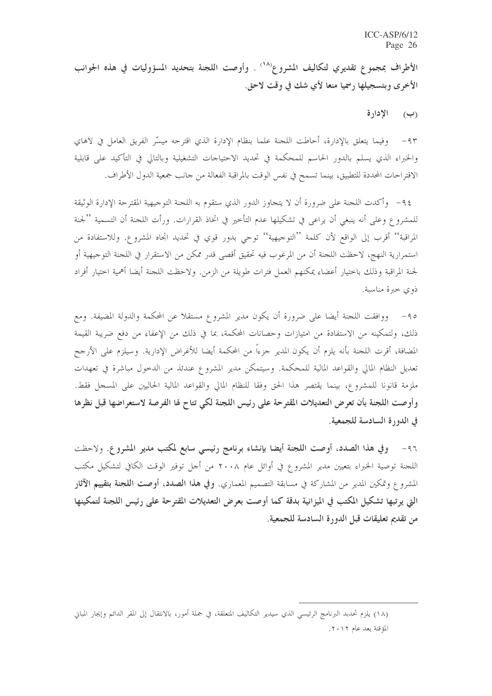الأطراف بمجموع تقديري لتكاليف المشروع'<sup>(١٨</sup>) . وأوصت اللجنة بتحديد المسؤوليات في هذه الجوانب الأخرى وبتسجيلها رسميا منعا لأي شك في وقت لاحق.

## (ب) الإدارة

٩٣- وفيما يتعلق بالإدارة، أحاطت اللجنة علما بنظام الإدارة الذي اقترحه ميسِّر الفريق العامل في لاهاي والخبراء الذي يسلم بالدور الحاسم للمحكمة في تحديد الاحتياجات التشغيلية وبالتالي في التأكيد على قابلية الاقتراحات المحددة للتطبيق، بينما تسمح في نفس الوقت بالمراقبة الفعالة من حانب جمعية الدول الأطراف.

٩٤ – وأكدت اللجنة على ضرورة أن لا يتحاوز الدور الذي ستقوم به اللجنة التوجيهية المقترحة الإدارة الوثيقة للمشروع وعلى أنه ينبغي أن يراعى في تشكيلها عدم التأخير في اتخاذ القرارات. ورأت اللجنة أن التسمية ''لجنة المراقبة'' أقرب إلى الواقع لأن كلمة ''التوجيهية'' توحى بدور قوي في تحديد اتجاه المشروع. وللاستفادة من استمرارية النهج، لاحظت اللحنة أن من المرغوب فيه تحقيق أقصى قدر ممكن من الاستقرار في اللحنة التوحيهية أو لجنة المراقبة وذلك باختيار أعضاء يمكنهم العمل فترات طويلة من الزمن. ولاحظت اللجنة أيضا أهمية اختيار أفراد ذوي حيرة مناسبة.

٩٥– ووافقت اللجنة أيضا على ضرورة أن يكون مدير المشروع مستقلا عن المحكمة والدولة المضيفة. ومع ذلك، ولتمكينه من الاستفادة من امتيازات وحصانات المحكمة، بما في ذلك من الإعفاء من دفع ضريبة القيمة المضافة، أقرت اللجنة بأنه يلزم أن يكون المدير جزءاً من المحكمة أيضا للأغراض الإدارية. وسيلزم على الأرجح تعديل النظام المالي والقواعد المالية للمحكمة. وسيتمكن مدير المشروع عندئذ من الدحول مباشرة في تعهدات ملزمة قانونا للمشروع، بينما يقتصر هذا الحق وفقا للنظام المالي والقواعد المالية الحاليين على المسجل فقط. وأوصت اللجنة بأن تعرض التعديلات المقترحة على رئيس اللجنة لكي تتاح لها الفرصة لاستعراضها قبل نظرها في الدورة السادسة للجمعية.

٩٦- وفي هذا الصدد، أوصت اللجنة أيضا بإنشاء برنامج رئيسي سابع لمكتب مدير المشروع. ولاحظت اللجنة توصية الخبراء بتعيين مدير المشروع في أوائل عام ٢٠٠٨ من أجل توفير الوقت الكافي لتشكيل مكتب المشروع وتمكين المدير من المشاركة في مسابقة التصميم المعماري. **وفي هذا الصدد، أوصت اللجنة بتقييم الآثار** التي يرتبها تشكيل المكتب في الميزانية بدقة كما أوصت بعرض التعديلات المقترحة على رئيس اللجنة لتمكينها من تقديم تعليقات قبل الدورة السادسة للجمعية.

<sup>(</sup>١٨) يلزم تحدبد البرنامج الرئيسي الذي سيدير التكاليف المتعلقة، في جملة أمور، بالانتقال إلى المقر الدائم وإيجار المباني المؤقتة بعد عام ٢٠١٢.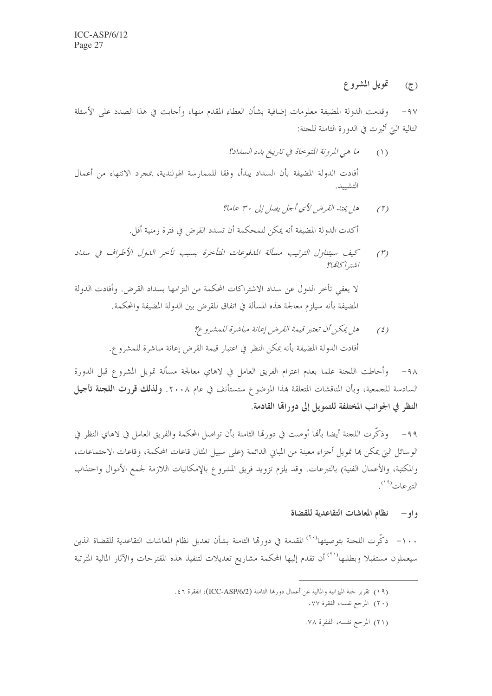#### تمويل المشروع  $\mathcal{L}$

٩٧– وقدمت الدولة المضيفة معلومات إضافية بشأن العطاء المقدم منها، وأحابت في هذا الصدد على الأسئلة التالية التي أثيرت في الدورة الثامنة للجنة:

> ما هي المرونة المتوحاة في تاريخ بدء السداد؟  $(1)$

أفادت الدولة المضيفة بأن السداد يبدأ، وفقا للممارسة الهولندية، بمجرد الانتهاء من أعمال التشييد.

- هل يمتد القرض لأي أجل يصل إلى ٣٠ عاما؟  $(\uparrow)$ أكدت الدولة المضيفة أنه يمكن للمحكمة أن تسدد القرض في فترة زمنية أقل.
- كيف سيتناول الترتيب مسألة المدفوعات المتأخرة بسبب تأخر الدول الأطراف في سداد  $(1)$ اشته اڭگانگا

لا يعفي تأخر الدول عن سداد الاشتراكات المحكمة من التزامها بسداد القرض. وأفادت الدولة المضيفة بأنه سيلزم معالجة هذه المسألة في اتفاق للقرض بين الدولة المضيفة والمحكمة.

> هل يمكن أن تعتبر قيمة القرض إعانة مباشرة للمشروع؟  $(5)$ أفادت الدولة المضيفة بأنه يمكن النظر في اعتبار قيمة القرض إعانة مباشرة للمشروع.

٩٨– وأحاطت اللجنة علما بعدم اعتزام الفريق العامل في لاهاي معالجة مسألة تمويل المشروع قبل الدورة السادسة للجمعية، وبأن المناقشات المتعلقة بمذا الموضوع ستستأنف في عام ٢٠٠٨. ولذلك قررت اللجنة تأجيل النظر في الجوانب المختلفة للتمويل إلى دورالها القادمة.

٩٩– وذكَّرت اللجنة أيضا بأنما أوصت في دورتما الثامنة بأن تواصل المحكمة والفريق العامل في لاهاي النظر في الوسائل التي يمكن ها تمويل أجزاء معينة من المباني الدائمة (على سبيل المثال قاعات المحكمة، وقاعات الاجتماعات، والمكتبة، والأعمال الفنية) بالتبرعات. وقد يلزم تزويد فريق المشروع بالإمكانيات اللازمة لجمع الأموال واحتذاب التبرعات<sup>(١٩)</sup>.

#### نظام المعاشات التقاعدية للقضاة  $-$  و او $-$

١٠٠ – ذكَّرت اللحنة بتوصيتها<sup>(٣٠)</sup> المقدمة في دورتما الثامنة بشأن تعديل نظام المعاشات التقاعدية للقضاة الذين سيعملون مستقبلا وبطلبها<sup>(٢١)</sup> أن تقدم إليها المحكمة مشاريع تعديلات لتنفيذ هذه المقترحات والآثار المالية المترتبة

(٢١) المرجع نفسه، الفقرة ٧٨.

<sup>(</sup>١٩) تقرير لجنة الميزانية والمالية عن أعمال دورقما الثامنة (ICC-ASP/6/2)، الفقرة ٤٦.

<sup>(</sup>٢٠) المرجع نفسه، الفقرة ٧٧.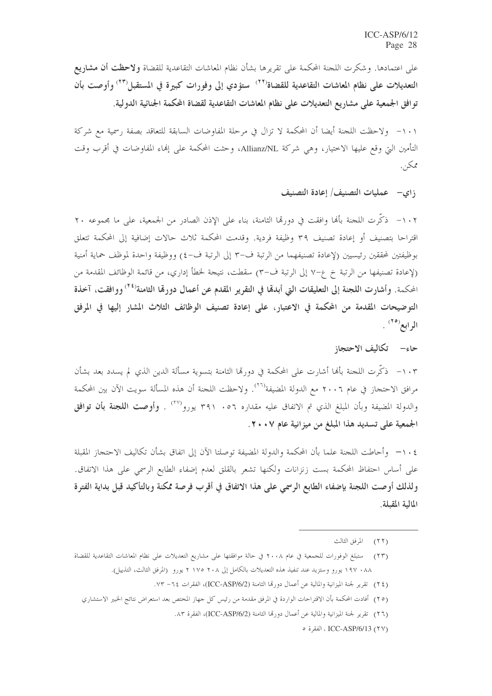على اعتمادها. وشكرت اللجنة المحكمة على تقريرها بشأن نظام المعاشات التقاعدية للقضاة **ولاحظت أن مشاريع** التعديلات على نظام المعاشات التقاعدية للقضاة<sup>(٢٢)</sup> ستؤدي إلى وفورات كبيرة في المستقبل<sup>(٢٣)</sup> وأوصت بأن توافق الجمعية على مشاريع التعديلات على نظام المعاشات التقاعدية لقضاة المحكمة الجنائية الدولية.

١٠١- ولاحظت اللجنة أيضا أن المحكمة لا تزال في مرحلة المفاوضات السابقة للتعاقد بصفة رسمية مع شركة التأمين التي وقع عليها الاختيار، وهي شركة Allianz/NL، وحثت المحكمة على إنماء المفاوضات في أقرب وقت ممكن.

زاي— عمليات التصنيف/ إعادة التصنيف

١٠٢ – ذكَّرت اللحنة بألها وافقت في دورقما الثامنة، بناء على الإذن الصادر من الجمعية، على ما مجموعه ٢٠ اقتراحا بتصنيف أو إعادة تصنيف ٣٩ وظيفة فردية. وقدمت المحكمة ثلاث حالات إضافية إلى المحكمة تتعلق بوظيفتين لمحققين رئيسيين (لإعادة تصنيفهما من الرتبة ف-٣ إلى الرتبة ف-٤) ووظيفة واحدة لموظف حماية أمنية (لإعادة تصنيفها من الرتبة خ ع–٧ إلى الرتبة ف–٣) سقطت، نتيجة لخطأ إداري، من قائمة الوظائف المقدمة من المحكمة. وأشارت اللجنة إلى التعليقات التي أبدهّا في التقرير المقدم عن أعمال دورهّا الثامنة<sup>(٢٤)</sup> ووافقت، آخذة التوضيحات المقدمة من المحكمة في الاعتبار، على إعادة تصنيف الوظائف الثلاث المشار إليها في المرفق الرابع<sup>(٢٥)</sup> .

### حاء– تكاليف الاحتجاز

١٠٣ - ذكَّرت اللجنة بألها أشارت على المحكمة في دورِها الثامنة بتسوية مسألة الدين الذي لم يسدد بعد بشأن مرافق الاحتجاز في عام ٢٠٠٦ مع الدولة المضيفة<sup>(٢٦)</sup>. ولاحظت اللجنة أن هذه المسألة سويت الآن بين المحكمة والدولة المضيفة وبأن المبلغ الذي تم الاتفاق عليه مقداره ٢٩١ . ٣٩١ يورو<sup>(٢٧)</sup> . **وأوصت اللجنة بأن توافق** الجمعية على تسديد هذا المبلغ من ميزانية عام ٢٠٠٧.

٠١٠٤ - وأحاطت اللجنة علما بأن المحكمة والدولة المضيفة توصلتا الآن إلى اتفاق بشأن تكاليف الاحتجاز المقبلة على أساس احتفاظ المحكمة بست زنزانات ولكنها تشعر بالقلق لعدم إضفاء الطابع الرسمي على هذا الاتفاق. ولذلك أوصت اللجنة بإضفاء الطابع الرسمي على هذا الاتفاق في أقرب فرصة ممكنة وبالتأكيد قبل بداية الفترة المالية المقبلة.

(٢٤) تقرير لجنة الميزانية والمالية عن أعمال دورقما الثامنة (ICC-ASP/6/2)، الفقرات ٦٤– ٧٣.

<sup>(</sup>٢٢) المرفق الثالث

<sup>(</sup>٢٣) – ستبلغ الوفورات للجمعية في عام ٢٠٠٨ في حالة موافقتها على مشاريع التعديلات على نظام المعاشات التقاعدية للقضاة ٨٨ • ١٩٧ يورو وستزيد عند تنفيذ هذه التعديلات بالكامل إلى ٢٠٨ ٢١٧٥ يورو (المرفق الثالث، التذييل).

<sup>(</sup>٢٥) أفادت المحكمة بأن الاقتراحات الواردة في المرفق مقدمة من رئيس كل جهاز المختص بعد استعراض نتائج الخبير الاستشاري

<sup>(</sup>٢٦) تقرير لجنة الميزانية والمالية عن أعمال دورها الثامنة (ICC-ASP/6/2)، الفقرة ٨٣.

<sup>(</sup>٢٧) ICC-ASP/6/13 ، الفقرة ٥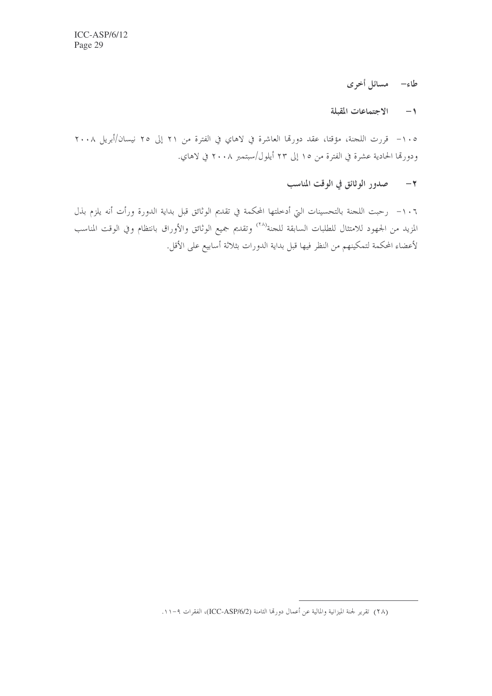# طاء– مسائل أخرى

### ١- الاجتماعات المقبلة

١٠٥ - قررت اللحنة، مؤقتا، عقد دورقما العاشرة في لاهاي في الفترة من ٢١ إلى ٢٥ نيسان/أبريل ٢٠٠٨ ودورقما الحادية عشرة في الفترة من ١٥ إلى ٢٣ أيلول/سبتمبر ٢٠٠٨ في لاهاي.

## ٢- صدور الوثائق في الوقت المناسب

١٠٦- رحبت اللجنة بالتحسينات التي أدخلتها المحكمة في تقديم الوثائق قبل بداية الدورة ورأت أنه يلزم بذل المزيد من الجهود للامتثال للطلبات السابقة للجنة<sup>(٢٨</sup>) وتقديم جميع الوثائق والأوراق بانتظام وفي الوقت المناسب لأعضاء المحكمة لتمكينهم من النظر فيها قبل بداية الدورات بثلاثة أسابيع على الأقل.

<sup>(</sup>٢٨) تقرير لجنة الميزانية والمالية عن أعمال دورقما الثامنة (ICC-ASP/6/2)، الفقرات ٩-١١.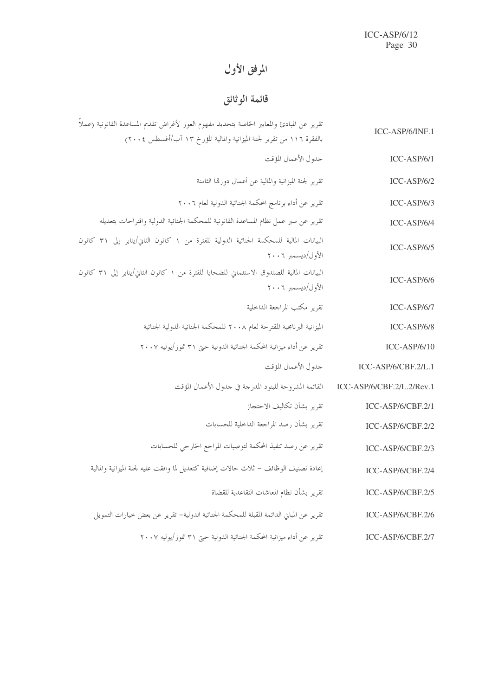# المرفق الأول

# قائمة الوثائق

| ICC-ASP/6/INF.1           | تقرير عن المبادئ والمعايير الخاصة بتحديد مفهوم العوز لأغراض تقديم المساعدة القانونية (عملاً                  |
|---------------------------|--------------------------------------------------------------------------------------------------------------|
| $ICC-ASP/6/1$             | بالفقرة ١١٦ من تقرير لجنة الميزانية والمالية المؤرخ ١٣ آب/أغسطس ٢٠٠٤)<br>جدول الأعمال المؤقت                 |
| $ICC-ASP/6/2$             | تقرير لجنة الميزانية والمالية عن أعمال دورقما الثامنة                                                        |
| $ICC-ASP/6/3$             | تقرير عن أداء برنامج المحكمة الجنائية الدولية لعام ٢٠٠٦                                                      |
| $ICC-ASP/6/4$             | تقرير عن سير عمل نظام المساعدة القانونية للمحكمة الجنائية الدولية واقتراحات بتعديله                          |
| $ICC-ASP/6/5$             | البيانات المالية للمحكمة الجنائية الدولية للفترة من ١ كانون الثاني/يناير إلى ٣١ كانون<br>الأول/ديسمبر ٢٠٠٦   |
| $ICC-ASP/6/6$             | البيانات المالية للصندوق الاستئماني للضحايا للفترة من ١ كانون الثاني/يناير إلى ٣١ كانون<br>الأول/ديسمبر ٢٠٠٦ |
| $ICC-ASP/6/7$             | تقرير مكتب المراجعة الداخلية                                                                                 |
| $ICC-ASP/6/8$             | الميزانية البرنامجية المقترحة لعام ٢٠٠٨ للمحكمة الجنائية الدولية الجنائية                                    |
| $ICC-ASP/6/10$            | تقرير عن أداء ميزانية المحكمة الجنائية الدولية حتى ٣١ تموز/يوليه ٢٠٠٧                                        |
| $ICC-ASP/6/CBF.2/L.1$     | جدول الأعمال المؤقت                                                                                          |
| ICC-ASP/6/CBF.2/L.2/Rev.1 | القائمة المشروحة للبنود المدرجة في جدول الأعمال المؤقت                                                       |
| ICC-ASP/6/CBF.2/1         | تقرير بشأن تكاليف الاحتجاز                                                                                   |
| ICC-ASP/6/CBF.2/2         | تقرير بشأن رصد المراجعة الداخلية للحسابات                                                                    |
| ICC-ASP/6/CBF.2/3         | تقرير عن رصد تنفيذ المحكمة لتوصيات المراجع الخارجي للحسابات                                                  |
| ICC-ASP/6/CBF.2/4         | إعادة تصنيف الوظائف – ثلاث حالات إضافية كتعديل لما وافقت عليه لجنة الميزانية والمالية                        |
| ICC-ASP/6/CBF.2/5         | تقرير بشأن نظام المعاشات التقاعدية للقضاة                                                                    |
| ICC-ASP/6/CBF.2/6         | تقرير عن المباني الدائمة المقبلة للمحكمة الجنائية الدولية– تقرير عن بعض خيارات التمويل                       |
| ICC-ASP/6/CBF.2/7         | تقرير عن أداء ميزانية المحكمة الجنائية الدولية حتى ٣١ تموز/يوليه ٢٠٠٧                                        |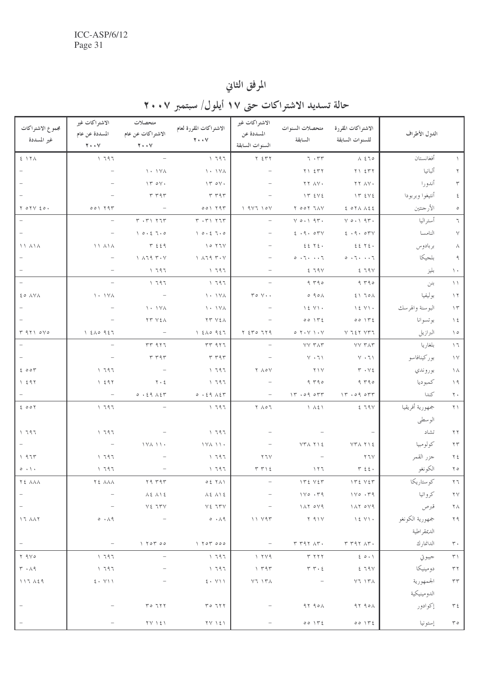# المرفق الثاني

# حالة تسديد الاشتراكات حتى ١٧ أيلول/ سبتمبر ٢٠٠٧

| مجموع الاشتراكات            | الاشتراكات غير                                                | متحصلات                                                                                                                                                                                                                                                                                                                        | الاشتراكات المقررة لعام                                                                                                                                                                                                                                                                                                        | الاشتراكات غير                            | متحصلات السنوات                                                                                                                                                                         | الاشتراكات المقررة                                          |                 |                            |
|-----------------------------|---------------------------------------------------------------|--------------------------------------------------------------------------------------------------------------------------------------------------------------------------------------------------------------------------------------------------------------------------------------------------------------------------------|--------------------------------------------------------------------------------------------------------------------------------------------------------------------------------------------------------------------------------------------------------------------------------------------------------------------------------|-------------------------------------------|-----------------------------------------------------------------------------------------------------------------------------------------------------------------------------------------|-------------------------------------------------------------|-----------------|----------------------------|
| غير المسددة                 | المسددة عن عام<br>$\mathbf{Y} \cdot \cdot \mathbf{V}$         | الاشتراكات عن عام<br>$Y \cdot Y$                                                                                                                                                                                                                                                                                               | $Y \cdot V$                                                                                                                                                                                                                                                                                                                    | المسددة عن<br>السنوات السابقة             | السابقة                                                                                                                                                                                 | للسنوات السابقة                                             | الدول الأطراف   |                            |
|                             |                                                               |                                                                                                                                                                                                                                                                                                                                |                                                                                                                                                                                                                                                                                                                                |                                           |                                                                                                                                                                                         |                                                             |                 |                            |
| 5.17A                       | 1797                                                          | $\overline{\phantom{a}}$                                                                                                                                                                                                                                                                                                       | $\sqrt{797}$                                                                                                                                                                                                                                                                                                                   | $Y \Sigma Y$                              | 7.77                                                                                                                                                                                    | $\lambda$ 270                                               | أفغانستان       | $\sqrt{2}$                 |
|                             |                                                               | $\lambda \cdot \lambda \vee \lambda$                                                                                                                                                                                                                                                                                           | $\lambda \cdot \lambda \vee \lambda$                                                                                                                                                                                                                                                                                           |                                           | $Y \cup \Sigma Y Y$                                                                                                                                                                     | $Y \cup \Sigma Y$                                           | ألبانيا         | $\Upsilon$                 |
|                             |                                                               | $\Upsilon \circ \Upsilon$ .                                                                                                                                                                                                                                                                                                    | $\Upsilon \circ \Upsilon$ .                                                                                                                                                                                                                                                                                                    |                                           | YY AV.                                                                                                                                                                                  | <b>TTAV.</b>                                                | أندورا          | $\mathbf r$                |
|                             |                                                               | r r q r                                                                                                                                                                                                                                                                                                                        | r r q r                                                                                                                                                                                                                                                                                                                        |                                           | $\gamma \uparrow$ $\epsilon \vee \epsilon$                                                                                                                                              | $\gamma \uparrow$ $\epsilon \vee \epsilon$                  | أنتيغوا وبربودا | $\boldsymbol{\xi}$         |
| Y O Y Y E O.                | 001797                                                        | $\hspace{0.1mm}-\hspace{0.1mm}$                                                                                                                                                                                                                                                                                                | 001797                                                                                                                                                                                                                                                                                                                         | 1.91110V                                  | $\begin{array}{c} \mathbf{Y} \quad \mathbf{X} \circ \mathbf{Y} \quad \mathbf{Y} \circ \mathbf{X} \end{array}$                                                                           | $E$ $O Y \wedge A E E$                                      | الأرجنتين       | $\circ$                    |
|                             | $\overline{\phantom{m}}$                                      | $Y \cdot Y$ $Y \cdot T$                                                                                                                                                                                                                                                                                                        | $Y \cdot Y \cdot Y \cdot T$                                                                                                                                                                                                                                                                                                    |                                           | $V O \cdot 1.91$                                                                                                                                                                        | $V O \cdot 1.91$                                            | أستراليا        | $\mathcal{T}$              |
|                             | $\overline{\phantom{a}}$                                      | 10.27.0                                                                                                                                                                                                                                                                                                                        | 10.27.0                                                                                                                                                                                                                                                                                                                        |                                           | 2.9.04V                                                                                                                                                                                 | 2.9.07V                                                     | النامسا         | $\vee$                     |
| 11 A 1 A                    | $\setminus \setminus \setminus \setminus \setminus \setminus$ | $T \leq \xi$ 9                                                                                                                                                                                                                                                                                                                 | $\sqrt{0}$ $\sqrt{11}$                                                                                                                                                                                                                                                                                                         |                                           | $225$ $72.$                                                                                                                                                                             | $225$ $72.$                                                 | بر بادوس        | $\wedge$                   |
|                             |                                                               | $\lambda$ $\lambda$ $\lambda$ $\eta$ $\tau$ $\cdot$ $\vee$                                                                                                                                                                                                                                                                     | $\lambda$ $\lambda$ $\lambda$ $\eta$ $\gamma$ $\cdots$                                                                                                                                                                                                                                                                         |                                           | 0.7.1.7                                                                                                                                                                                 | $\circ\ \cdot\ \cdot\ \cdot\ \cdot\ \cdot\ \tau$            | بلجيكا          | ٩                          |
|                             |                                                               | 1797                                                                                                                                                                                                                                                                                                                           | ۲۹٦ ۱                                                                                                                                                                                                                                                                                                                          |                                           | 279V                                                                                                                                                                                    | 279V                                                        | بليز            | $\lambda$                  |
| $\equiv$                    | $\overline{\phantom{a}}$                                      | 1797                                                                                                                                                                                                                                                                                                                           | $\sqrt{797}$                                                                                                                                                                                                                                                                                                                   |                                           | 9790                                                                                                                                                                                    | 9790                                                        | بنن             | $\setminus$                |
| ξο ΛΥΛ                      | 1.14A                                                         | $\sim$ $-$                                                                                                                                                                                                                                                                                                                     | $\lambda \cdot \lambda \vee \lambda$                                                                                                                                                                                                                                                                                           | $\mathbf{r} \circ \mathbf{v} \cdot \cdot$ | $\circ$ 901                                                                                                                                                                             | 5170A                                                       | بوليفيا         | $\ensuremath{\mathcal{N}}$ |
|                             |                                                               | $\lambda \cdot \lambda \wedge \lambda$                                                                                                                                                                                                                                                                                         | $\lambda \cdot \lambda \vee \lambda$                                                                                                                                                                                                                                                                                           |                                           | $\lambda \xi$ $\gamma \lambda$ .                                                                                                                                                        | $\lambda \xi$ $\gamma \lambda$ .                            | البوسنة والهرسك | $\gamma$                   |
|                             |                                                               | <b>YY VEA</b>                                                                                                                                                                                                                                                                                                                  | YY YEA                                                                                                                                                                                                                                                                                                                         |                                           | 00172                                                                                                                                                                                   | 0015                                                        | بوتسوانا        | $\setminus$ 2              |
| T 9710V0                    | 120951                                                        | $\hspace{0.1mm}-\hspace{0.1mm}$                                                                                                                                                                                                                                                                                                | 1500957                                                                                                                                                                                                                                                                                                                        | $Y$ $270$ $779$                           | $\vee \cdot \wedge \vee \cdot \curlyvee \circ$                                                                                                                                          | $V$ $I$ $\zeta$ $\Upsilon$ $V$ $T$ $I$                      | البرازيل        | $\setminus \circ$          |
| $\equiv$                    |                                                               | $rr$ $957$                                                                                                                                                                                                                                                                                                                     | $rr$ 977                                                                                                                                                                                                                                                                                                                       |                                           | <b>YY TAT</b>                                                                                                                                                                           | <b>YY TAT</b>                                               | بلغاريا         | $\setminus$ $\top$         |
|                             |                                                               | T T 9T                                                                                                                                                                                                                                                                                                                         | r r q r                                                                                                                                                                                                                                                                                                                        |                                           | $Y \cdot 7$                                                                                                                                                                             | $V \cdot 7$                                                 | بوركينافاسو     | $\backslash$ $\lor$        |
| 2007                        | 1797                                                          |                                                                                                                                                                                                                                                                                                                                | ، ۱۹۶                                                                                                                                                                                                                                                                                                                          | ٢ ٨٥٧                                     | $\gamma \wedge \gamma$                                                                                                                                                                  | $\mathbf{r} \cdot \mathbf{v}$                               | بوروندي         | $\setminus \wedge$         |
| 1297                        | 1297                                                          | $\tau \cdot z$                                                                                                                                                                                                                                                                                                                 | ۱ ۶۹۶                                                                                                                                                                                                                                                                                                                          |                                           | 9790                                                                                                                                                                                    | 9790                                                        | كمبوديا         | $\setminus$ 9              |
|                             | $\sim$ $-$                                                    | 0.29.157                                                                                                                                                                                                                                                                                                                       | 0.59A5r                                                                                                                                                                                                                                                                                                                        | $\hspace{0.1mm}-\hspace{0.1mm}$           | $17.09$ orr                                                                                                                                                                             | $\forall r \cdot 09 \text{ or } r$                          | كندا            | $\mathbf{Y}$ .             |
| 2007                        | 1797                                                          |                                                                                                                                                                                                                                                                                                                                | 1797                                                                                                                                                                                                                                                                                                                           | ٢ ٨٥٦                                     | $\lambda \lambda \xi$                                                                                                                                                                   | 279V                                                        | جمهورية أفريقيا | $\uparrow \uparrow$        |
|                             |                                                               |                                                                                                                                                                                                                                                                                                                                |                                                                                                                                                                                                                                                                                                                                |                                           |                                                                                                                                                                                         |                                                             | الوسطى          |                            |
| 1797                        | 1797                                                          |                                                                                                                                                                                                                                                                                                                                | $\sqrt{797}$                                                                                                                                                                                                                                                                                                                   |                                           |                                                                                                                                                                                         |                                                             | تشاد            | $\gamma \gamma$            |
|                             | $\sim$ $-$                                                    | 1 V A 1 1 .                                                                                                                                                                                                                                                                                                                    | 1 Y A 1 1 .                                                                                                                                                                                                                                                                                                                    |                                           | <b>VTATIE</b>                                                                                                                                                                           | $YY \wedge Y \wedge 5$                                      | كولومبيا        | $\mathbf{Y} \, \mathbf{Y}$ |
| 1975                        | 1797                                                          |                                                                                                                                                                                                                                                                                                                                | ، ۱۹۶                                                                                                                                                                                                                                                                                                                          | ۲٦۷                                       |                                                                                                                                                                                         | $\gamma \tau \gamma$                                        | جزر القمر       | $\uparrow \xi$             |
| $0 \cdot \rightarrow \cdot$ | 1797                                                          |                                                                                                                                                                                                                                                                                                                                | ، ۱۹۶                                                                                                                                                                                                                                                                                                                          | $T T \$                                   | ۱۲٦                                                                                                                                                                                     | $r \xi$ .                                                   | الكونغو         | $\upgamma$ $\circ$         |
| <b>72 AAA</b>               | TE AAA                                                        | Y9Y9Y                                                                                                                                                                                                                                                                                                                          | 0271                                                                                                                                                                                                                                                                                                                           | $\overline{\phantom{a}}$                  | ITE VET                                                                                                                                                                                 | ITE VET                                                     | كوستاريكا       | $\uparrow \uparrow$        |
|                             |                                                               | $\lambda \xi$ $\lambda \lambda \xi$                                                                                                                                                                                                                                                                                            | <b>AE AIE</b>                                                                                                                                                                                                                                                                                                                  |                                           | $1 \vee \circ \cdot \vee \circ \circ$                                                                                                                                                   | $1 \vee o \cdot r q$                                        | كرواتيا         | $\mathbf{Y} \mathbf{V}$    |
| $\overline{\phantom{0}}$    |                                                               | $V\xi$ $TVV$                                                                                                                                                                                                                                                                                                                   | $Y \xi$ $T\gamma V$                                                                                                                                                                                                                                                                                                            |                                           | $Y \wedge Y \circ Y$                                                                                                                                                                    | 11704                                                       | قبرص            | $\uparrow\uplambda$        |
| $17$ $\lambda \lambda 7$    | 0.19                                                          |                                                                                                                                                                                                                                                                                                                                | 0.19                                                                                                                                                                                                                                                                                                                           | $11$ $Y$ 9 $T$                            | $Y$ 9 $Y$                                                                                                                                                                               | $\rightarrow$ $\sim$ $\rightarrow$                          | جمهورية الكونغو | $\uparrow$ ۹               |
|                             |                                                               |                                                                                                                                                                                                                                                                                                                                |                                                                                                                                                                                                                                                                                                                                |                                           |                                                                                                                                                                                         |                                                             | الديمقراطية     |                            |
|                             |                                                               | $\bigvee$ $\bigvee$ $\bigvee$ $\bigvee$ $\bigvee$ $\bigvee$ $\bigvee$ $\bigvee$ $\bigvee$ $\bigvee$ $\bigvee$ $\bigvee$ $\bigvee$ $\bigvee$ $\bigvee$ $\bigvee$ $\bigvee$ $\bigvee$ $\bigvee$ $\bigvee$ $\bigvee$ $\bigvee$ $\bigvee$ $\bigvee$ $\bigvee$ $\bigvee$ $\bigvee$ $\bigvee$ $\bigvee$ $\bigvee$ $\bigvee$ $\bigve$ | $\bigvee$ $\bigvee$ $\bigvee$ $\bigvee$ $\bigvee$ $\bigvee$ $\bigvee$ $\bigvee$ $\bigvee$ $\bigvee$ $\bigvee$ $\bigvee$ $\bigvee$ $\bigvee$ $\bigvee$ $\bigvee$ $\bigvee$ $\bigvee$ $\bigvee$ $\bigvee$ $\bigvee$ $\bigvee$ $\bigvee$ $\bigvee$ $\bigvee$ $\bigvee$ $\bigvee$ $\bigvee$ $\bigvee$ $\bigvee$ $\bigvee$ $\bigve$ |                                           | $\begin{array}{c} \Gamma \end{array} \begin{array}{c} \Gamma \end{array} \begin{array}{c} \Gamma \end{array} \begin{array}{c} \Lambda \end{array} \begin{array}{c} \Gamma \end{array}.$ | $T T 97 \Lambda T$                                          | الدانمارك       | $\mathbf{r}\cdot$          |
| $Y$ 9 $Y$ 0                 | 1797                                                          |                                                                                                                                                                                                                                                                                                                                | 1797                                                                                                                                                                                                                                                                                                                           | Y Y 9                                     | T T T                                                                                                                                                                                   | 20.1                                                        | جيبوتي          | $\uparrow\uparrow$ \       |
| $\mathbf{r}\cdot\mathbf{v}$ | 1797                                                          |                                                                                                                                                                                                                                                                                                                                | ۱ ۶۹۶                                                                                                                                                                                                                                                                                                                          | 1.797                                     | $T T \cdot \xi$                                                                                                                                                                         | 279V                                                        | دومينيكا        | $\tau\,\tau$               |
| 117.159                     | $\mathbf{\xi} \cdot \mathbf{V} \setminus \mathbf{V}$          |                                                                                                                                                                                                                                                                                                                                | $2 \cdot Y$                                                                                                                                                                                                                                                                                                                    | $Y$ $T$ $Y$ $A$                           |                                                                                                                                                                                         | $Y$ $T$ $Y$ $T$ $A$                                         | الجمهورية       | $\tau\tau$                 |
|                             |                                                               |                                                                                                                                                                                                                                                                                                                                |                                                                                                                                                                                                                                                                                                                                |                                           |                                                                                                                                                                                         |                                                             | الدومينيكية     |                            |
|                             |                                                               | $Y \circ 7Y$                                                                                                                                                                                                                                                                                                                   | $Y \circ 7Y$                                                                                                                                                                                                                                                                                                                   |                                           | 9790A                                                                                                                                                                                   | $9790 \lambda$                                              | إكوادور         | $T \xi$                    |
|                             |                                                               | $\Upsilon \vee \ \Upsilon \leq \Upsilon$                                                                                                                                                                                                                                                                                       | $\Upsilon \vee \ \Upsilon \leq \Upsilon$                                                                                                                                                                                                                                                                                       |                                           | 0015                                                                                                                                                                                    | $\circ \circ \neg \upharpoonright \neg \upharpoonright \xi$ | إستونيا         | $\tau \circ$               |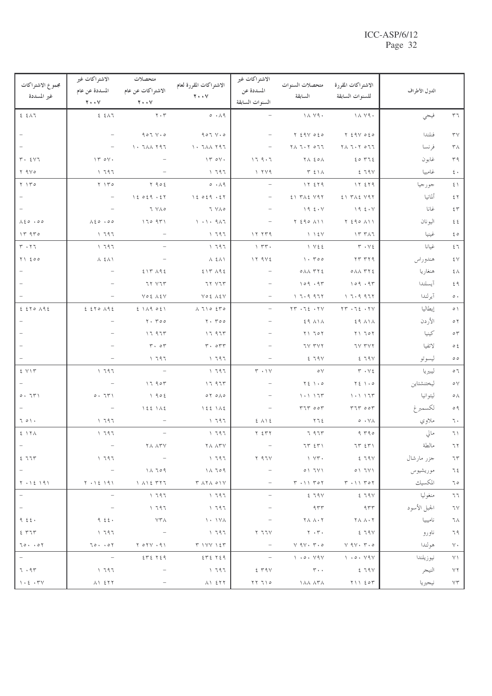| مجموع الاشتراكات<br>غير المسددة       | الاشتراكات غير<br>المسددة عن عام<br>$Y \cdot Y$ | متحصلات<br>الاشتراكات عن عام<br>$\mathbf{Y} \cdot \cdot \mathbf{V}$  | الاشتراكات المقررة لعام<br>$Y \cdot V$             | الاشتراكات غير<br>المسددة عن<br>السنوات السابقة | متحصلات السنو ات<br>السابقة                                                                                           | الاشتراكات المقررة<br>للسنوات السابقة                                       | الدول الأطراف |                                                                   |
|---------------------------------------|-------------------------------------------------|----------------------------------------------------------------------|----------------------------------------------------|-------------------------------------------------|-----------------------------------------------------------------------------------------------------------------------|-----------------------------------------------------------------------------|---------------|-------------------------------------------------------------------|
| 25.5                                  | 25.51                                           | $\mathbf{Y}\boldsymbol{\cdot}\mathbf{Y}$                             | $\circ \cdot \wedge \circ$                         |                                                 | $\lambda \wedge \lambda$                                                                                              | $\lambda \wedge \lambda$                                                    | فيجي          | ٣٦                                                                |
|                                       |                                                 | $907$ $V \cdot 0$                                                    | $907$ $V \cdot S$                                  | $\overline{\phantom{a}}$                        | $Y \leq 9V$ $0 \leq Q$                                                                                                | $Y \leq 9V$ $0 \leq 0$                                                      | فنلندا        | $\mathbf{r} \mathbf{v}$                                           |
|                                       |                                                 | $\lambda$ + $7\lambda\lambda$ $\lambda$ $97$                         | $\lambda$ + $7\lambda\lambda$ $\lambda$ $97$       |                                                 | $\begin{array}{c} \mathbf{7} \wedge \mathbf{7} \cdot \mathbf{7} \quad \mathbf{0} \ \mathbf{7} \mathbf{7} \end{array}$ | $\mathbf{Y} \wedge \mathbf{Y} \cdot \mathbf{Y} \circ \mathbf{Y} \mathbf{Y}$ | فر نسا        | ٣٨                                                                |
| $r \cdot 2V$                          | $\Upsilon \circ \Upsilon$ .                     |                                                                      | $\Upsilon \circ \Upsilon$ .                        | 179.7                                           | てん その人                                                                                                                | 20772                                                                       | غابو ن        | ۳۹                                                                |
| $Y$ 9 $V$ 0                           | 1797                                            |                                                                      | ، ۱۹۶                                              | Y Y 9                                           | <b>T 211</b>                                                                                                          | 279V                                                                        | غامبيا        | $\epsilon$ .                                                      |
| $Y \upharpoonright Y \circ$           | $Y \upharpoonright Y^{\circ}$                   | $Y \cap Q \circ \xi$                                                 | $\circ \cdot \wedge \circ$                         |                                                 | 17279                                                                                                                 | 17579                                                                       | جورجيا        | $\xi \setminus$                                                   |
|                                       | $\overline{\phantom{m}}$                        | 12029.57                                                             | 12029.57                                           |                                                 | $21$ $Y \wedge 2$ $Y \wedge 7$                                                                                        | $21$ $Y \wedge 2$ $Y \wedge 7$                                              | ألمانيا       | 55                                                                |
|                                       |                                                 | 7 YAO                                                                | 7 YAO                                              |                                                 | 19.5.4                                                                                                                | 19.5.4                                                                      | غانا          | $\xi$ $\uparrow$                                                  |
| $\lambda \xi \circ \cdot \circ \circ$ | $\lambda \xi \circ \cdot \circ \circ$           | 17097                                                                | $\backslash \cdot \backslash \cdot$ 9 $\land$ 7    | $\overline{\phantom{a}}$                        | $Y \leq 90$ $\Lambda$ $\setminus$ $\setminus$                                                                         | $Y$ $290$ $\Lambda$ $11$                                                    | اليو نان      | $\xi$ $\xi$                                                       |
| 14.970                                | 1797                                            |                                                                      | $\sqrt{797}$                                       | 17.779                                          | $\bigwedge$ $\bigwedge$ $\{V$                                                                                         | $\gamma$ $\gamma$ $\gamma$                                                  | غينيا         | $\xi$ $\circ$                                                     |
| $r \cdot r$                           | 1797                                            |                                                                      | ، ٦٩٦                                              | $\gamma$ $\tau\tau$ .                           | 1 V 2 2                                                                                                               | $Y \cdot V$ 2                                                               | غيانا         | ٤٦                                                                |
| $Y \setminus \xi \circ \circ$         | $\Lambda$ { $\Lambda$ \                         |                                                                      | $\lambda$ { $\lambda$ }                            | 17.9V                                           | $\cdot$ $\cdot$ $\cdot$ $\circ$                                                                                       | YY Y Y 9                                                                    | هندوراس       | ٤٧                                                                |
|                                       |                                                 | 517 A95                                                              | 517 A95                                            |                                                 | $0$ $\wedge\wedge$ $\wedge$ $\wedge$ $\wedge$                                                                         | $0 \wedge \wedge$ ۳۲٤                                                       | هنغاريا       | $\xi$ $\wedge$                                                    |
|                                       |                                                 | 77 YTT                                                               | 77 VIT                                             |                                                 | 109.9                                                                                                                 | 109.9                                                                       | آيسلندا       | ٤٩                                                                |
|                                       |                                                 | VOE AEV                                                              | YO & A EV                                          |                                                 | 17.9977                                                                                                               | 1.7.9.977                                                                   | آير لندا      | $\circ$ .                                                         |
| 25000                                 | 250192                                          | $2$ $119$ $051$                                                      | $\Lambda$ $710$ $550$                              | $\overline{\phantom{0}}$                        | $\Upsilon\Upsilon\cdot\Upsilon\xi\cdot\Upsilon\Upsilon$                                                               | $TT - 72.7Y$                                                                | إيطاليا       | $\circ$ \                                                         |
|                                       |                                                 | $Y.$ $Y \circ \circ$                                                 | $Y.$ $Y \circ \circ$                               |                                                 | $29$ $\lambda$ $\lambda$                                                                                              | そう ハーハ                                                                      | الأردن        | $\circ$ $\uparrow$                                                |
|                                       |                                                 | 17.977                                                               | 17.975                                             |                                                 | $Y \setminus 70Y$                                                                                                     | $Y \setminus 70Y$                                                           | كينيا         | $\circ$<br>$\uparrow$                                             |
|                                       |                                                 | $\mathbf{r} \cdot \mathbf{r}$                                        | $r \cdot \circ r r$                                |                                                 | <b>IV TVY</b>                                                                                                         | 7V TVY                                                                      | لاتفيا        | $\circ$ $\mathop{\varepsilon}$                                    |
|                                       | $\overline{\phantom{a}}$                        | 1797                                                                 | ، ۱۹۶                                              |                                                 | 279V                                                                                                                  | 279V                                                                        | ليسوتو        | $\circ$                                                           |
| $5$ $V \mid T$                        | 1797                                            | $\equiv$                                                             | ، ٦٩٦                                              | $\mathsf{r} \cdot \mathsf{v}$                   | $\circ \vee$                                                                                                          | $Y \cdot Y$                                                                 | ليبيريا       | $\circ$ 7                                                         |
|                                       |                                                 | 17.90                                                                | 17.97                                              |                                                 | $Y\xi \rightarrow 0$                                                                                                  | $Y \xi$ $\rightarrow$ 0                                                     | ليختنشتاين    | $\circ \vee$                                                      |
| 0.71                                  | 0.71                                            | 1905                                                                 | $0 \times 0 \times 0$                              |                                                 | 1.117                                                                                                                 | 1.117                                                                       | ليتوانيا      | $\circ \wedge$                                                    |
|                                       |                                                 | 1551A5                                                               | 1551A5                                             |                                                 | 577000                                                                                                                | $TIT$ $\circ \circ T$                                                       | لكسمبرغ       | $\circ$ 9                                                         |
| 701.                                  | 1797                                            |                                                                      | ، ۱۹۶                                              | $2 \wedge$                                      | ۲٦٤                                                                                                                   | $\circ \cdot \vee \wedge$                                                   | ملاوي         | ٦٠                                                                |
| 5.17A                                 | 1797                                            |                                                                      | 1797                                               | $Y \Sigma Y$                                    | 7.977                                                                                                                 | 9790                                                                        | مالي          | $\wedge$                                                          |
|                                       |                                                 | ۲۸ ۸۳۷                                                               | $\mathbf{Y} \wedge \mathbf{Y} \mathbf{Y}$          |                                                 | 7565                                                                                                                  | 7557                                                                        | مالطة         | ٦٢                                                                |
| 277                                   | 1797                                            | $\sim$ 100 $-$                                                       | $\sqrt{797}$                                       | $Y$ 97 $V$                                      | $\vee$ $\vee$ $\vee$                                                                                                  | 579V                                                                        | جزر مارشال    | $7\,\mathrm{r}$                                                   |
|                                       | $\hspace{0.1mm}-\hspace{0.1mm}$                 | $\Lambda$ $\Lambda$ $\sim$ 9                                         | $\Lambda$ $\Lambda$ $709$                          |                                                 | 01711                                                                                                                 | 01711                                                                       | موريشيوس      | 75                                                                |
| $Y \cdot Y \leq Y \cdot Y$            | $Y \cdot Y \xi + \xi Y$                         | $\bigwedge$ $\bigwedge$ $\bigwedge$ $\uparrow$ $\uparrow$ $\uparrow$ |                                                    |                                                 | $\Gamma$ $\cdot$ $\setminus$ $\setminus$ $\Gamma$ $\circ$ $\uparrow$                                                  | $\tau \rightarrow \uparrow \uparrow \tau \circ \tau$                        | المكسيك       | ٦٥                                                                |
| $\frac{1}{2}$                         | $\hspace{0.1mm}-\hspace{0.1mm}$                 | ، ۱۹۶                                                                | $\sqrt{797}$                                       | $\overline{\phantom{a}}$                        | そうへい                                                                                                                  | <u>६</u> ५१४                                                                | منغوليا       | ٦٦                                                                |
|                                       | $\overline{\phantom{a}}$                        | 1797                                                                 | ، ۱۹۶                                              |                                                 | 955                                                                                                                   | 955                                                                         | الجبل الأسود  | ٦٧                                                                |
| 9.55.                                 | 9.55                                            | <b>YTA</b>                                                           | <b>1 · 1 / V /</b>                                 |                                                 | $\mathbf{Y} \wedge \mathbf{Y} \wedge \mathbf{Y}$                                                                      | てん ハ・て                                                                      | ناميبيا       | ٦٨                                                                |
| 2577                                  | 1797                                            |                                                                      | $\sqrt{797}$                                       | ۲ ٦٦٧                                           | $\mathbf{Y} \cdot \mathbf{Y}$                                                                                         | 25.79V                                                                      | ناورو         | ٦٩                                                                |
| 70.00                                 | 70.00                                           | Y O Y . 91                                                           | $T$ $\forall$ $\forall$ $\forall$ $\xi$ $\uparrow$ | $\overline{\phantom{a}}$                        | $Y$ 9 $V$ $\cdot$ $V$ $\cdot$ $\circ$                                                                                 | $V$ 9 $V$ . $V$ . $\circ$                                                   | هولندا        | $\vee\cdot$                                                       |
|                                       | $\sim$ $-$                                      | 2522                                                                 | 57272                                              | $\overline{\phantom{a}}$                        | $\big\backslash$ $\cdot \circ \cdot$ $\vee$ 9 $\vee$                                                                  | $\big\backslash$ $\cdot \circ \cdot \vee \circ \vee$                        | نيوزيلندا     | $\vee$ \                                                          |
| 7.95                                  | 1797                                            |                                                                      | $\sqrt{797}$                                       | 2.79V                                           | $\mathbf{r}$ .                                                                                                        | 279V                                                                        | النيجر        | $\vee \Upsilon$                                                   |
| $\backslash$ . $\xi$ . $\Upsilon\vee$ | $\lambda$ 1 $557$                               |                                                                      |                                                    | ۱۲ تر ۲۲                                        | ነ ለ አ ለ የ ለ                                                                                                           | $Y \cup \mathcal{E}$                                                        | نيجيريا       | $\vee\,\stackrel{\scriptscriptstyle\vee}{\scriptscriptstyle\sim}$ |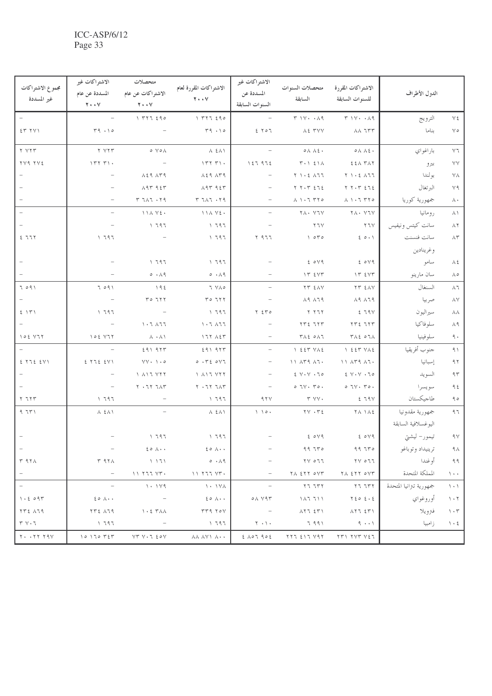| مجموع الاشتراكات<br>غير المسددة             | الاشتراكات غير<br>المسددة عن عام<br>$Y \cdot Y$ | متحصلات<br>الاشتراكات عن عام<br>$Y \cdot Y$                                                                                                                                                                                                                                                                                                                             | الاشتراكات المقررة لعام<br>$Y \cdot V$                                                                                                                                                                                                                                                                                                                                                                                           | الاشتراكات غير<br>المسددة عن<br>السنوات السابقة | متحصلات السنوات<br>السابقة                                     | الاشتراكات المقررة<br>للسنوات السابقة                                             | الدول الأطراف           |                             |
|---------------------------------------------|-------------------------------------------------|-------------------------------------------------------------------------------------------------------------------------------------------------------------------------------------------------------------------------------------------------------------------------------------------------------------------------------------------------------------------------|----------------------------------------------------------------------------------------------------------------------------------------------------------------------------------------------------------------------------------------------------------------------------------------------------------------------------------------------------------------------------------------------------------------------------------|-------------------------------------------------|----------------------------------------------------------------|-----------------------------------------------------------------------------------|-------------------------|-----------------------------|
|                                             | $\overline{\phantom{a}}$                        | 1777290                                                                                                                                                                                                                                                                                                                                                                 | 177720                                                                                                                                                                                                                                                                                                                                                                                                                           |                                                 | $T \vee V \cdot \cdot \wedge q$                                | $T' \vee Y \cdot \cdot \wedge 9$                                                  | الترويج                 | $\vee$ 2                    |
| 57 Y                                        | T9.10                                           |                                                                                                                                                                                                                                                                                                                                                                         | T9.10                                                                                                                                                                                                                                                                                                                                                                                                                            | 2507                                            | LE TVV                                                         | $\lambda \lambda$ $\tau \tau \tau$                                                | بناما                   | $\lor \circ$                |
| Y Y Y T                                     | Y Y Y T                                         | $\circ \lor \circ \land$                                                                                                                                                                                                                                                                                                                                                | $\lambda$ $\epsilon \lambda$                                                                                                                                                                                                                                                                                                                                                                                                     | $\overline{\phantom{a}}$                        | $\circ \wedge \wedge \circ \cdot$                              | $\circ \wedge \wedge \circ \cdot$                                                 | باراغواي                | $\vee$ 7                    |
| TV9 TVE                                     | $1777)$ .                                       |                                                                                                                                                                                                                                                                                                                                                                         | $\uparrow\uparrow\uparrow\uparrow\uparrow\uparrow\uparrow$                                                                                                                                                                                                                                                                                                                                                                       | 127972                                          | $T \cdot 121$                                                  | EEA TAY                                                                           | بيرو                    | $\lor\lor$                  |
|                                             |                                                 | $\lambda$ 2 9 $\lambda$ $\mu$ 9                                                                                                                                                                                                                                                                                                                                         | $\lambda$ 2 9 $\lambda$ $\mu$ 9                                                                                                                                                                                                                                                                                                                                                                                                  | $\overline{\phantom{a}}$                        | $Y \cup S$ $\wedge$ $77$                                       | $Y \cup Z \in \Lambda$                                                            | بولندا                  | $\vee\wedge$                |
|                                             |                                                 | 19795                                                                                                                                                                                                                                                                                                                                                                   | 19795                                                                                                                                                                                                                                                                                                                                                                                                                            | $\overline{\phantom{a}}$                        | $Y Y \cdot Y = 272$                                            | $Y Y \cdot Y Z Z$                                                                 | البرتغال                | $\vee$ ٩                    |
|                                             |                                                 | Y 711.7.79                                                                                                                                                                                                                                                                                                                                                              | Y 711.7.79                                                                                                                                                                                                                                                                                                                                                                                                                       |                                                 | $\Lambda$ $\Lambda$ $\cdot$ $\tau$ $\tau$ $\tau$ $\circ$       | $\wedge \ \ \cdot \ \ \tau \ \tau \circ$                                          | جمهورية كوريا           | $\wedge\cdot$               |
|                                             | $\overline{\phantom{a}}$                        | 1111125                                                                                                                                                                                                                                                                                                                                                                 | 1111125                                                                                                                                                                                                                                                                                                                                                                                                                          | $\overline{\phantom{a}}$                        | YA . YIY                                                       | YA . YIV                                                                          | رومانيا                 | $\wedge \wedge$             |
|                                             |                                                 | 1797                                                                                                                                                                                                                                                                                                                                                                    | 1797                                                                                                                                                                                                                                                                                                                                                                                                                             |                                                 | Y Y                                                            | $Y$ $7V$                                                                          | سانت كيتس ونيفيس        | $\wedge$ $\breve{\ }$       |
| 277                                         | 1797                                            |                                                                                                                                                                                                                                                                                                                                                                         | 1797                                                                                                                                                                                                                                                                                                                                                                                                                             | $Y$ $977$                                       | $\big\{$ $\circ$ $\uparrow$ $\circ$                            | 20.1                                                                              | سانت فنسنت              | $\wedge\tau$                |
|                                             |                                                 |                                                                                                                                                                                                                                                                                                                                                                         |                                                                                                                                                                                                                                                                                                                                                                                                                                  |                                                 |                                                                |                                                                                   | وغرينادين               |                             |
|                                             |                                                 | 1797                                                                                                                                                                                                                                                                                                                                                                    | 1797                                                                                                                                                                                                                                                                                                                                                                                                                             |                                                 | 204                                                            | 204                                                                               | سامو                    | $\lambda$ ź                 |
|                                             |                                                 | 0.19                                                                                                                                                                                                                                                                                                                                                                    | 0.19                                                                                                                                                                                                                                                                                                                                                                                                                             |                                                 | IT EVT                                                         | IT EVT                                                                            | سان مارينو              | $\wedge\circ$               |
| 7091                                        | 7091                                            | 192                                                                                                                                                                                                                                                                                                                                                                     | 7 YAO                                                                                                                                                                                                                                                                                                                                                                                                                            | $\overline{\phantom{a}}$                        | <b>TT EAV</b>                                                  | <b>TT EAV</b>                                                                     | السنغال                 | ۸٦                          |
|                                             | $\overline{\phantom{a}}$                        | $Y \circ 7YY$                                                                                                                                                                                                                                                                                                                                                           | $Y \circ 7YY$                                                                                                                                                                                                                                                                                                                                                                                                                    |                                                 | $\lambda$ 9 $\lambda$ 7 9                                      | $\wedge$ 9 $\wedge$ 7 9                                                           | صربيا                   | $\lambda\,\mathrm{V}$       |
| 5.151                                       | 1797                                            |                                                                                                                                                                                                                                                                                                                                                                         | 1797                                                                                                                                                                                                                                                                                                                                                                                                                             | $Y \xi Y$                                       | Y Y 77                                                         | 279V                                                                              | سيراليون                | $\lambda\lambda$            |
|                                             |                                                 | $\lambda$ . $\lambda$ $\lambda$ $\lambda$ $\lambda$ $\lambda$                                                                                                                                                                                                                                                                                                           | $\lambda$ . $\lambda$ $\lambda$ $\lambda$ $\lambda$ $\lambda$                                                                                                                                                                                                                                                                                                                                                                    |                                                 | $YYZ$ $YY$                                                     | $YYZ$ $YY$                                                                        | سلوفاكيا                | ۸۹                          |
| 102 V17                                     | 102 V17                                         | $\lambda \cdot \lambda$                                                                                                                                                                                                                                                                                                                                                 | 177 A57                                                                                                                                                                                                                                                                                                                                                                                                                          | $\overline{\phantom{m}}$                        | $T \wedge \xi$ $\circ \wedge$                                  | ۳۸٤ ٥٦٨                                                                           | سلوفينيا                | ٩.                          |
|                                             |                                                 | 59197                                                                                                                                                                                                                                                                                                                                                                   | 29197                                                                                                                                                                                                                                                                                                                                                                                                                            | $\overline{\phantom{m}}$                        | $1557$ $Y\Lambda$                                              | $\left.\right\}$ $557$ $\left.\right\}$                                           | جنوب أفريقيا            | ۹١                          |
| 2 Y12 2 Y1                                  | 27725                                           | $YY \cdot 1.0$                                                                                                                                                                                                                                                                                                                                                          | 0.7201                                                                                                                                                                                                                                                                                                                                                                                                                           | $\overline{\phantom{m}}$                        | $11$ $\wedge$ $59$ $\wedge$ $7.$                               | $11$ $\wedge$ $59$ $\wedge$ $7.$                                                  | إسبانيا                 | ۹۲ $\,$                     |
|                                             |                                                 | $\bigwedge$ $\bigwedge$ $\bigvee$ $\bigvee$ $\bigvee$ $\bigvee$                                                                                                                                                                                                                                                                                                         | $\bigwedge$ $\bigwedge$ $\bigvee$ $\bigvee$ $\bigvee$ $\bigvee$                                                                                                                                                                                                                                                                                                                                                                  |                                                 | $2 V \cdot V \cdot 70$                                         | $2 V \cdot V \cdot 70$                                                            | السويد                  | 95                          |
|                                             | $\overline{\phantom{m}}$                        | $Y \cdot 7Y$ $7 \wedge 7$                                                                                                                                                                                                                                                                                                                                               | $Y \cdot 7Y$ $7 \wedge 7$                                                                                                                                                                                                                                                                                                                                                                                                        | $\overline{\phantom{m}}$                        | $0.7V \cdot 70.$                                               | $0.7V \cdot 70.$                                                                  | سويسرا                  | $9\xi$                      |
| Y 777                                       | 1797                                            |                                                                                                                                                                                                                                                                                                                                                                         | 1797                                                                                                                                                                                                                                                                                                                                                                                                                             | 97V                                             | Y Y                                                            | 279V                                                                              | طاجيكستان               | 90                          |
| 9.751                                       | $\Lambda$ $\epsilon \Lambda$                    |                                                                                                                                                                                                                                                                                                                                                                         | $\Lambda$ { $\Lambda$ \                                                                                                                                                                                                                                                                                                                                                                                                          | $\setminus$ $\setminus$ $\circ$ .               | $\gamma \vee \cdot \tau$                                       |                                                                                   | جمهورية مقدونيا         | ۹٦                          |
|                                             |                                                 |                                                                                                                                                                                                                                                                                                                                                                         |                                                                                                                                                                                                                                                                                                                                                                                                                                  |                                                 |                                                                |                                                                                   | اليوغسلافية السابقة     |                             |
|                                             |                                                 | 1797                                                                                                                                                                                                                                                                                                                                                                    | 1797                                                                                                                                                                                                                                                                                                                                                                                                                             |                                                 | 204                                                            | 2049                                                                              | تيمور– ليشتى            | $\gamma\,\gamma$            |
|                                             |                                                 | $20 \lambda \cdot \cdot$                                                                                                                                                                                                                                                                                                                                                | $\xi \circ \wedge \cdot \cdot$                                                                                                                                                                                                                                                                                                                                                                                                   |                                                 | 9970                                                           | 99770                                                                             | ترينيداد وتوباغو        | ۹۸                          |
| ۳۹۲۸                                        | ۳ ۹۲۸                                           | $\left( \begin{array}{cc} 1 & 1 & 1 \end{array} \right)$                                                                                                                                                                                                                                                                                                                | $\circ \cdot \wedge \circ$                                                                                                                                                                                                                                                                                                                                                                                                       |                                                 | $\begin{array}{c} \gamma \vee \circ \gamma \gamma \end{array}$ | $\begin{array}{c} \gamma \vee \circ \gamma \gamma \end{array}$                    | أوغندا                  | 99                          |
|                                             | $\overline{\phantom{a}}$                        | $\begin{picture}(20,20) \put(0,0){\dashbox{0.5}(10,0){ }} \put(15,0){\dashbox{0.5}(10,0){ }} \put(15,0){\dashbox{0.5}(10,0){ }} \put(15,0){\dashbox{0.5}(10,0){ }} \put(15,0){\dashbox{0.5}(10,0){ }} \put(15,0){\dashbox{0.5}(10,0){ }} \put(15,0){\dashbox{0.5}(10,0){ }} \put(15,0){\dashbox{0.5}(10,0){ }} \put(15,0){\dashbox{0.5}(10,0){ }} \put(15,0){\dashbox{$ | $\begin{array}{c} \mathbf{1} & \mathbf{1} & \mathbf{1} & \mathbf{1} & \mathbf{1} & \mathbf{1} & \mathbf{1} & \mathbf{1} & \mathbf{1} & \mathbf{1} & \mathbf{1} & \mathbf{1} & \mathbf{1} & \mathbf{1} & \mathbf{1} & \mathbf{1} & \mathbf{1} & \mathbf{1} & \mathbf{1} & \mathbf{1} & \mathbf{1} & \mathbf{1} & \mathbf{1} & \mathbf{1} & \mathbf{1} & \mathbf{1} & \mathbf{1} & \mathbf{1} & \mathbf{1} & \mathbf{1} & \mathbf$ |                                                 | $Y \wedge \xi Y Y \circ Y Y$                                   | TA ETT OVT                                                                        | المملكة المتحدة         | $\Delta$ + +                |
|                                             |                                                 | 1.14                                                                                                                                                                                                                                                                                                                                                                    | 1 · 1 Y A                                                                                                                                                                                                                                                                                                                                                                                                                        |                                                 | 57.757                                                         | 57.757                                                                            | جمهورية تنزانيا المتحدة | $\rightarrow$ $\rightarrow$ |
| 1.2097                                      | $20 \wedge \cdot \cdot$                         |                                                                                                                                                                                                                                                                                                                                                                         | $\xi \circ \Lambda \cdot \cdot$                                                                                                                                                                                                                                                                                                                                                                                                  | ۷۹۳ ه                                           | 117711                                                         | $Y \xi o \xi \cdot \xi$                                                           | أوروغواي                | $\gamma \cdot \gamma$       |
| TTE 179                                     | $\forall \tau \in \Lambda$ ٦٩                   | $\lambda$ + 2 $\tau$ $\lambda$ $\lambda$                                                                                                                                                                                                                                                                                                                                | TT9 TOV                                                                                                                                                                                                                                                                                                                                                                                                                          | $\sim$ $-$                                      | ハとち えどり                                                        | $\lambda$ $\zeta$ $\zeta$ $\zeta$ $\zeta$ $\zeta$ $\zeta$ $\zeta$ $\zeta$ $\zeta$ | فترويلا                 | $\eta \cdot \tau$           |
| $\uparrow \uparrow \uparrow \cdot \uparrow$ | 1797                                            |                                                                                                                                                                                                                                                                                                                                                                         | $\sqrt{197}$                                                                                                                                                                                                                                                                                                                                                                                                                     | $\gamma \cdot \gamma$ .                         | ۹۹۱ تا                                                         | $-9$ $+1$                                                                         | زامبيا                  | $\lambda$ + 2               |
| $Y \cdot \cdot YY$ $Y \cdot Y$              | 10170757                                        | $VTV \cdot T \xi \circ V$                                                                                                                                                                                                                                                                                                                                               | <b>AA AYY A</b>                                                                                                                                                                                                                                                                                                                                                                                                                  | 207902                                          | ۲۲۶ ٤١٦ ٧٩٢                                                    |                                                                                   |                         |                             |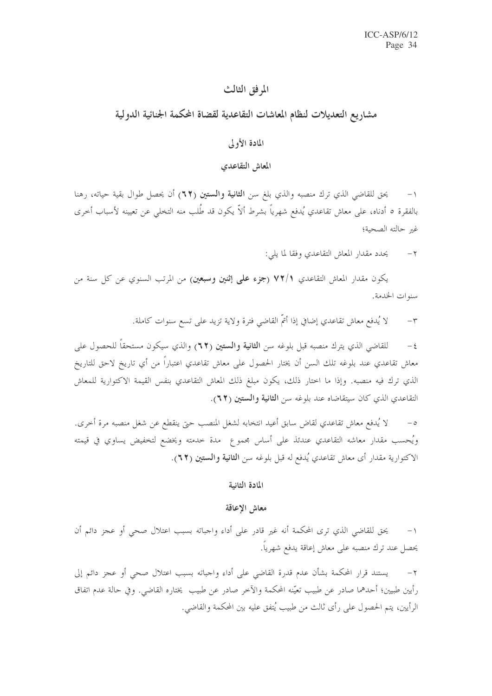### المرفق الثالث

# مشاريع التعديلات لنظام المعاشات التقاعدية لقضاة المحكمة الجنائية الدولية

### المادة الأولى

### المعاش التقاعدي

يحق للقاضي الذي ترك منصبه والذي بلغ سن **الثانية والستين (٦٢)** أن يحصل طوال بقية حياته، رهنا بالفقرة ٥ أدناه، على معاش تقاعدي يُدفع شهرياً بشرط ألاّ يكون قد طُلب منه التخلي عن تعيينه لأسباب أخرى غير حالته الصحية؛

> يحدد مقدار المعاش التقاعدي وفقا لما يلي:  $-\tau$

يكون مقدار المعاش التقاعدي ٧٢/١ (جزء علمي إثنين وسبعين) من المرتب السنوي عن كل سنة من سنوات الخدمة.

> لا يُدفع معاش تقاعدي إضافي إذا أتمَّ القاضي فترة ولاية تزيد على تسع سنوات كاملة.  $-\tau$

للقاضي الذي يترك منصبه قبل بلوغه سن **الثانية والستين (٦٢)** والذي سيكون مستحقاً للحصول على  $-\xi$ معاش تقاعدي عند بلوغه تلك السن أن يختار الحصول على معاش تقاعدي اعتباراً من أي تاريخ لاحق للتاريخ الذي ترك فيه منصبه. وإذا ما اختار ذلك، يكون مبلغ ذلك المعاش التقاعدي بنفس القيمة الاكتوارية للمعاش التقاعدي الذي كان سيتقاضاه عند بلوغه سن الثانية والستين (٢٢).

لا يُدفع معاش تقاعدي لقاض سابق أعيد انتخابه لشغل المنصب حتى ينقطع عن شغل منصبه مرة أخرى.  $-\circ$ ويُحسب مقدار معاشه التقاعدي عندئذ على أساس مجموع ً مدة خدمته ويخضع لتخفيض يساوي في قيمته الاكتوارية مقدار أي معاش تقاعدي يُدفع له قبل بلوغه سن ا**لثانية والستين (٦٢**).

### المادة الثانية

### معاش الإعاقة

يحق للقاضي الذي ترى المحكمة أنه غير قادر على أداء واجباته بسبب اعتلال صحى أو عجز دائم أن  $-1$ يحصل عند ترك منصبه على معاش إعاقة يدفع شهرياً.

٢– يستند قرار المحكمة بشأن عدم قدرة القاضي على أداء واجباته بسبب اعتلال صحى أو عجز دائم إلى رأيين طبيين؛ أحدهما صادر عن طبيب تعيّنه المحكمة والآخر صادر عن طبيب يختاره القاضي. وفي حالة عدم اتفاق الرأيين، يتم الحصول على رأى ثالث من طبيب يُتفق عليه بين المحكمة والقاضي.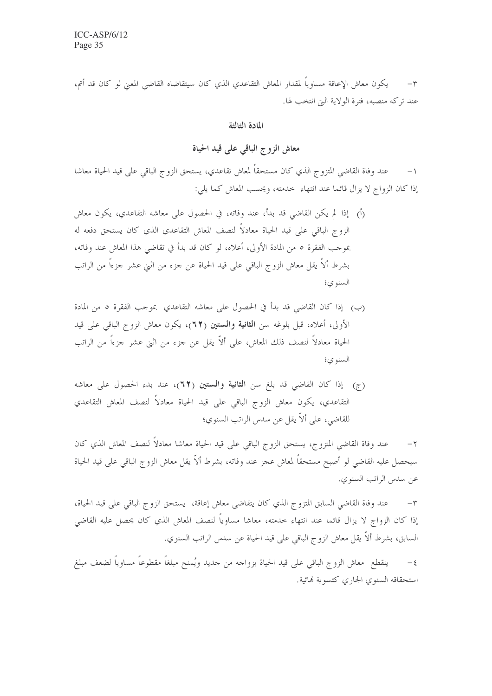يكون معاش الإعاقة مساوياً لمقدار المعاش التقاعدي الذي كان سيتقاضاه القاضي المعنى لو كان قد أتم، عند تركه منصبه، فترة الولاية التي انتخب لها.

المادة الثالثة

معاش الزوج الباقي على قيد الحياة

عند وفاة القاضي المتزوج الذي كان مستحقاً لمعاش تقاعدي، يستحق الزوج الباقي على قيد الحياة معاشا  $-1$ إذا كان الزواج لا يزال قائما عند انتهاء خدمته، ويحسب المعاش كما يلي:

- (أ) إذا لم يكن القاضي قد بدأ، عند وفاته، في الحصول على معاشه التقاعدي، يكون معاش الزوج الباقي على قيد الحياة معادلاً لنصف المعاش التقاعدي الذي كان يستحق دفعه له بموجب الفقرة ٥ من المادة الأولى، أعلاه، لو كان قد بدأ في تقاضى هذا المعاش عند وفاته، بشرط ألاً يقل معاش الزوج الباقي على قيد الحياة عن حزء من اثني عشر حزءًا من الراتب السنو ي؛
- (ب) ۚ إذا كان القاضي قد بدأ في الحصول على معاشه التقاعدي ۖ بموجب الفقرة ٥ من المادة الأولى، أعلاه، قبل بلوغه سن الثانية والستين (٦٢)، يكون معاش الزوج الباقي على قيد الحياة معادلاً لنصف ذلك المعاش، على ألاَّ يقلَّ عن جزء من اثني عشر جزءاً من الراتب السنوي؛
- (ج) إذا كان القاضي قد بلغ سن الثانية والستين (٦٢)، عند بدء الحصول على معاشه التقاعدي، يكون معاش الزوج الباقي على قيد الحياة معادلاً لنصف المعاش التقاعدي للقاضي، على ألاّ يقل عن سدس الراتب السنوي؛

عند وفاة القاضي المتزوج، يستحق الزوج الباقي على قيد الحياة معاشا معادلاً لنصف المعاش الذي كان سيحصل عليه القاضى لو أصبح مستحقاً لمعاش عجز عند وفاته، بشرط ألاّ يقل معاش الزوج الباقي على قيد الحياة عن سدس الراتب السنوي.

عند وفاة القاضي السابق المتزوج الذي كان يتقاضى معاش إعاقة، يستحق الزوج الباقي على قيد الحياة،  $-1$ إذا كان الزواج لا يزال قائما عند انتهاء حدمته، معاشا مساوياً لنصف المعاش الذي كان يحصل عليه القاضي السابق، بشرط ألاَّ يقل معاش الزوج الباقي على قيد الحياة عن سدس الراتب السنوي.

ينقطع ً معاش الزوج الباقي على قيد الحياة بزواجه من جديد ويُمنح مبلغاً مقطوعاً مساوياً لضعف مبلغ  $-\xi$ استحقاقه السنوى الجارى كتسوية نهائية.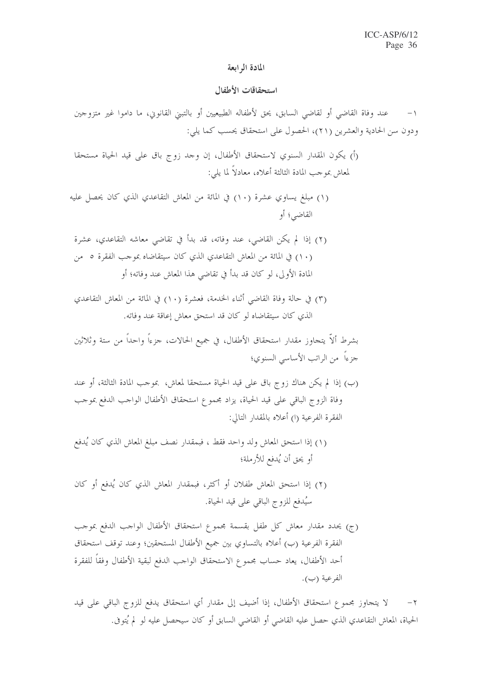#### المادة الرابعة

#### استحقاقات الأطفال

- (أ) يكون المقدار السنوي لاستحقاق الأطفال، إن وحد زوج باق على قيد الحياة مستحقا لمعاش بموجب المادة الثالثة أعلاه، معادلاً لما يلي:
- (١) مبلغ يساوي عشرة (١٠) في المائة من المعاش التقاعدي الذي كان يحصل عليه القاضبي؛ أو
- (٢) إذا لم يكن القاضي، عند وفاته، قد بدأ في تقاضي معاشه التقاعدي، عشرة (١٠) في المائة من المعاش التقاعدي الذي كان سيتقاضاه بموجب الفقرة ٥ من المادة الأولى، لو كان قد بدأ في تقاضي هذا المعاش عند وفاته؛ أو
- (٣) في حالة وفاة القاضي أثناء الخدمة، فعشرة (١٠) في المائة من المعاش التقاعدي الذي كان سيتقاضاه لو كان قد استحق معاش إعاقة عند وفاته.

- (ب) إذا لم يكن هناك زوج باق على قيد الحياة مستحقا لمعاش، بموجب المادة الثالثة، أو عند وفاة الزوج الباقي على قيد الحياة، يزاد مجموع استحقاق الأطفال الواحب الدفع بموحب الفقرة الفرعية (١) أعلاه بالمقدار التالي:
- (١) إذا استحق المعاش ولد وإحد فقط ، فبمقدار نصف مبلغ المعاش الذي كان يُدفع أو يحق أن يُدفع للأرملة؛
- (٢) إذا استحق المعاش طفلان أو أكثر، فبمقدار المعاش الذي كان يُدفع أو كان سيُدفع للزوج الباقي على قيد الحياة.
- (ج) يحدد مقدار معاش كل طفل بقسمة مجموع استحقاق الأطفال الواحب الدفع بموحب الفقرة الفرعية (ب) أعلاه بالتساوي بين جميع الأطفال المستحقين؛ وعند توقف استحقاق أحد الأطفال، يعاد حساب مجموع الاستحقاق الواحب الدفع لبقية الأطفال وفقاً للفقرة الفرعية (ب).

لا يتحاوز بحموع استحقاق الأطفال، إذا أضيف إلى مقدار أي استحقاق يدفع للزوج الباقي على قيد  $-7$ الحياة، المعاش التقاعدي الذي حصل عليه القاضي أو القاضي السابق أو كان سيحصل عليه لو لم يُتوفى.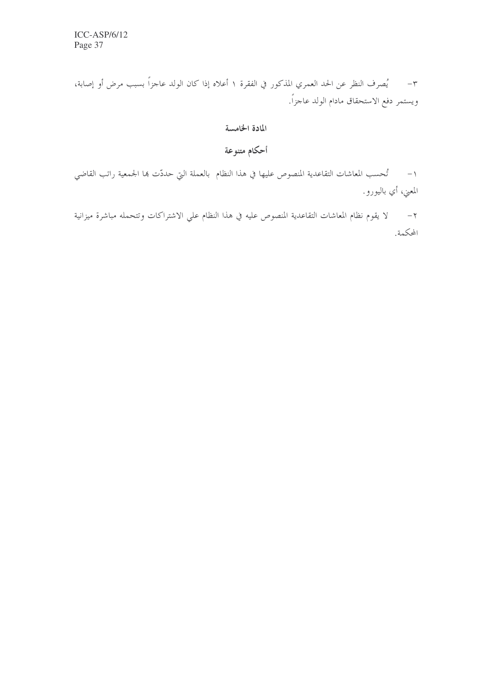٣- يُصرف النظر عن الحد العمري المذكور في الفقرة ١ أعلاه إذا كان الولد عاجزاً بسبب مرض أو إصابة، ويستمر دفع الاستحقاق مادام الولد عاجزاً.

### المادة الخامسة

أحكام متنوعة

١– تُحسب المعاشات التقاعدية المنصوص عليها في هذا النظام بالعملة التي حددّت بما الجمعية راتب القاضي المعني، أي باليورو.

٢– لا يقوم نظام المعاشات التقاعدية المنصوص عليه في هذا النظام على الاشتراكات وتتحمله مباشرة ميزانية المحكمة.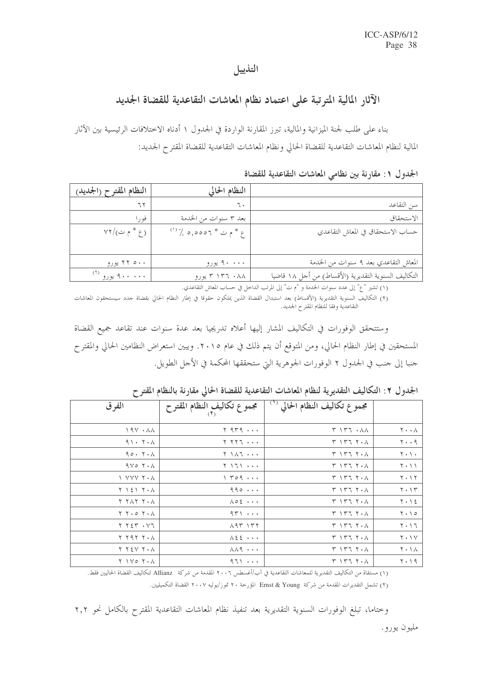### التذييل

# الآثار المالية المترتبة على اعتماد نظام المعاشات التقاعدية للقضاة الجديد

بناء على طلب لجنة الميزانية والمالية، تبرز المقارنة الواردة في الجدول ١ أدناه الاختلافات الرئيسية بين الآثار المالية لنظام المعاشات التقاعدية للقضاة الحالي ونظام المعاشات التقاعدية للقضاة المقترح الجديد:

الجدول ١: مقارنة بين نظامي المعاشات التقاعدية للقضاة

|                                                      | النظام الحالي            | النظام المقترح (الجديد)                    |
|------------------------------------------------------|--------------------------|--------------------------------------------|
| سن التقاعد                                           |                          |                                            |
| الاستحقاق                                            | بعد ٣ سنوات من الخدمة    | فورا                                       |
| حساب الاستحقاق في المعاش التقاعدي                    | $(')'.$ 9,0007 * ح * م ت | $VT/(\tilde{\smile}\uparrow^*\varepsilon)$ |
|                                                      |                          |                                            |
| المعاش التقاعدي بعد ٩ سنوات من الخدمة                | ۴۰۰۰ پورو                | ۲۲ ۵۰۰ یورو                                |
| التكاليف السنوية التقديرية (الأقساط) من أحل ١٨ قاضيا | ۱۳۶ ۰۸۸ تورو             | ۹۰۰ ۰۰۰ يورو (۲                            |

(١) تشير "ع" إلى عدد سنوات الخدمة و "م ت" إلى المرتب الداخل في حساب المعاش التقاعدي.

(٢) التكاليف السنوية التقديرية (الأقساط) بعد استبدال القضاة الذين يملكون حقوقا في إطار النظام الحالي بقضاة حدد سيستحقون المعاشات<br>التقاعدية وفقا للنظام المقترح الجديد.

وستتحقق الوفورات في التكاليف المشار إليها أعلاه تدريجيا بعد عدة سنوات عند تقاعد جميع القضاة المستحقين في إطار النظام الحالي، ومن المتوقع أن يتم ذلك في عام ٢٠١٥. ويبين استعراض النظامين الحالي والمقترح حنبا إلى حنب في الجدول ٢ الوفورات الجوهرية التي ستحققها المحكمة في الأحل الطويل.

الجدول ٢: التكاليف التقديرية لنظام المعاشات التقاعدية للقضاة الحالي مقارنة بالنظام المقتر ح

| الفرق                                                  | مجموع تكاليف النظام المقترح<br>(۲ <sub>)</sub> | مجموع تكاليف النظام الحالي <sup>(١)</sup>                                                          |                                          |
|--------------------------------------------------------|------------------------------------------------|----------------------------------------------------------------------------------------------------|------------------------------------------|
| $19Y \cdot \lambda\lambda$                             | $Y$ 9 $T$ 9,                                   | $\uparrow$ $\uparrow$ $\uparrow$ $\uparrow$ $\uparrow$ $\uparrow$ $\uparrow$ $\uparrow$ $\uparrow$ | $\mathbf{Y} \cdot \cdot \mathbf{A}$      |
| 91.7.1                                                 | 1 7 7 7 7                                      | ۰۸ ۱۳۶ ۲۰                                                                                          | $\mathbf{y} \cdot \mathbf{y}$            |
| 90.7.1                                                 | ۰۰۰ ۱۸۲ ۲                                      | ۰۸ ۲ ۲ ۲ ۲                                                                                         | $\mathbf{Y} \cdot \mathbf{Y} \cdot$      |
| $9V^{\circ}$ $7 \cdot \Lambda$                         |                                                | ۰۸ ۱۳۶ ۲۰                                                                                          | $\gamma \cdot \gamma$                    |
| 1 YYY Y • A                                            | $\gamma$ $\gamma$ $\circ$ $\circ$ $\cdots$     | $Y \setminus Y$ $\top$ $Y \cdot \wedge$                                                            | $\mathbf{Y} \cdot \mathbf{Y}$            |
| て ヽ と ヽ  ヾ ・ ∧                                         | 990                                            | $\uparrow$ $\uparrow$ $\uparrow$ $\uparrow$ $\uparrow$ $\uparrow$ $\uparrow$ $\uparrow$            | $\mathbf{Y} \cdot \mathbf{Y}$            |
| $\lambda$ ، $\gamma$ , $\lambda$ , $\gamma$            | $\lambda \circ \xi \cdots$                     | ۰۸ ۱۳۶ ۲۰                                                                                          | $Y \cdot \Delta$                         |
| $\gamma \rightarrow \gamma \rightarrow \gamma$         | $97$                                           | ۰۸ ۱۳۶ ۲۰                                                                                          | $\mathbf{Y} \cdot \mathbf{10}$           |
| $Y Y \xi Y \cdot YZ$                                   | $\lambda$ 9 $\uparrow$ 1 $\uparrow$ $\uparrow$ | ۰۸ ۱۳۶ ۲۰                                                                                          | $\mathbf{Y} \cdot \mathbf{1} \mathbf{7}$ |
| $\lambda$ ، $\lambda$ , $\lambda$                      | $\lambda$ { $\zeta$ $\cdots$ }                 | ۰۸ ۱۳۶ ۲۰                                                                                          | $Y \cdot Y$                              |
| ۲ ۲ ٤ ۷ ۲ ۰ ۸                                          | $\lambda \lambda$ 9 $\cdots$                   | ۰۸ ۲ ۲ ۲ ۲                                                                                         | ۲۰۱۸                                     |
| $\gamma \rightarrow \gamma \circ \gamma \cdot \lambda$ | 971                                            | ۰۸ ۱۳۶ ۲۰                                                                                          | ۲۰۱۹                                     |

(١) مستقاة من التكاليف التقديرية للمعاشات التقاعدية في آب/أغسطس ٢٠٠٦ المقدمة من شركة Allianz لتكاليف القضاة الحاليين فقط. (٢) تشمل التقديرات المقدمة من شركة Ernst & Young المؤرخة ٢٠ تموز/يوليه ٢٠٠٧ القضاة التكميليين.

وختاما، تبلغ الوفورات السنوية التقديرية بعد تنفيذ نظام المعاشات التقاعدية المقترح بالكامل نحو ٢,٢

مليون يورو.